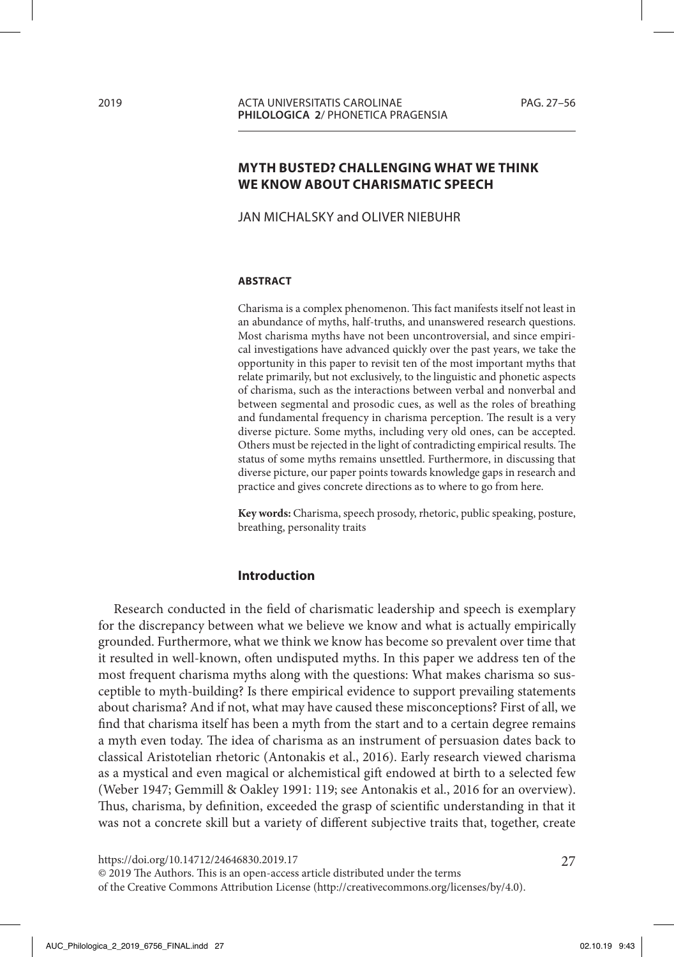# **MYTH BUSTED? CHALLENGING WHAT WE THINK WE KNOW ABOUT CHARISMATIC SPEECH**

JAN MICHALSKY and OLIVER NIEBUHR

#### **ABSTRACT**

Charisma is a complex phenomenon. This fact manifests itself not least in an abundance of myths, half-truths, and unanswered research questions. Most charisma myths have not been uncontroversial, and since empirical investigations have advanced quickly over the past years, we take the opportunity in this paper to revisit ten of the most important myths that relate primarily, but not exclusively, to the linguistic and phonetic aspects of charisma, such as the interactions between verbal and nonverbal and between segmental and prosodic cues, as well as the roles of breathing and fundamental frequency in charisma perception. The result is a very diverse picture. Some myths, including very old ones, can be accepted. Others must be rejected in the light of contradicting empirical results. The status of some myths remains unsettled. Furthermore, in discussing that diverse picture, our paper points towards knowledge gaps in research and practice and gives concrete directions as to where to go from here.

**Key words:** Charisma, speech prosody, rhetoric, public speaking, posture, breathing, personality traits

#### **Introduction**

Research conducted in the field of charismatic leadership and speech is exemplary for the discrepancy between what we believe we know and what is actually empirically grounded. Furthermore, what we think we know has become so prevalent over time that it resulted in well-known, often undisputed myths. In this paper we address ten of the most frequent charisma myths along with the questions: What makes charisma so susceptible to myth-building? Is there empirical evidence to support prevailing statements about charisma? And if not, what may have caused these misconceptions? First of all, we find that charisma itself has been a myth from the start and to a certain degree remains a myth even today. The idea of charisma as an instrument of persuasion dates back to classical Aristotelian rhetoric (Antonakis et al., 2016). Early research viewed charisma as a mystical and even magical or alchemistical gift endowed at birth to a selected few (Weber 1947; Gemmill & Oakley 1991: 119; see Antonakis et al., 2016 for an overview). Thus, charisma, by definition, exceeded the grasp of scientific understanding in that it was not a concrete skill but a variety of different subjective traits that, together, create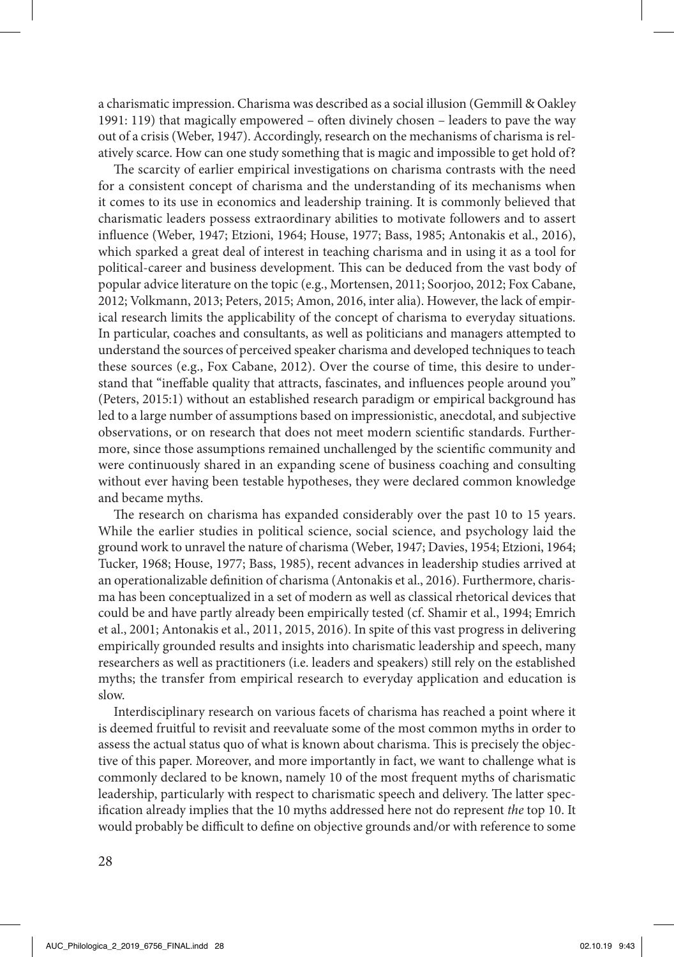a charismatic impression. Charisma was described as a social illusion (Gemmill & Oakley 1991: 119) that magically empowered – often divinely chosen – leaders to pave the way out of a crisis (Weber, 1947). Accordingly, research on the mechanisms of charisma is relatively scarce. How can one study something that is magic and impossible to get hold of?

The scarcity of earlier empirical investigations on charisma contrasts with the need for a consistent concept of charisma and the understanding of its mechanisms when it comes to its use in economics and leadership training. It is commonly believed that charismatic leaders possess extraordinary abilities to motivate followers and to assert influence (Weber, 1947; Etzioni, 1964; House, 1977; Bass, 1985; Antonakis et al., 2016), which sparked a great deal of interest in teaching charisma and in using it as a tool for political-career and business development. This can be deduced from the vast body of popular advice literature on the topic (e.g., Mortensen, 2011; Soorjoo, 2012; Fox Cabane, 2012; Volkmann, 2013; Peters, 2015; Amon, 2016, inter alia). However, the lack of empirical research limits the applicability of the concept of charisma to everyday situations. In particular, coaches and consultants, as well as politicians and managers attempted to understand the sources of perceived speaker charisma and developed techniques to teach these sources (e.g., Fox Cabane, 2012). Over the course of time, this desire to understand that "ineffable quality that attracts, fascinates, and influences people around you" (Peters, 2015:1) without an established research paradigm or empirical background has led to a large number of assumptions based on impressionistic, anecdotal, and subjective observations, or on research that does not meet modern scientific standards. Furthermore, since those assumptions remained unchallenged by the scientific community and were continuously shared in an expanding scene of business coaching and consulting without ever having been testable hypotheses, they were declared common knowledge and became myths.

The research on charisma has expanded considerably over the past 10 to 15 years. While the earlier studies in political science, social science, and psychology laid the ground work to unravel the nature of charisma (Weber, 1947; Davies, 1954; Etzioni, 1964; Tucker, 1968; House, 1977; Bass, 1985), recent advances in leadership studies arrived at an operationalizable definition of charisma (Antonakis et al., 2016). Furthermore, charisma has been conceptualized in a set of modern as well as classical rhetorical devices that could be and have partly already been empirically tested (cf. Shamir et al., 1994; Emrich et al., 2001; Antonakis et al., 2011, 2015, 2016). In spite of this vast progress in delivering empirically grounded results and insights into charismatic leadership and speech, many researchers as well as practitioners (i.e. leaders and speakers) still rely on the established myths; the transfer from empirical research to everyday application and education is slow.

Interdisciplinary research on various facets of charisma has reached a point where it is deemed fruitful to revisit and reevaluate some of the most common myths in order to assess the actual status quo of what is known about charisma. This is precisely the objective of this paper. Moreover, and more importantly in fact, we want to challenge what is commonly declared to be known, namely 10 of the most frequent myths of charismatic leadership, particularly with respect to charismatic speech and delivery. The latter specification already implies that the 10 myths addressed here not do represent *the* top 10. It would probably be difficult to define on objective grounds and/or with reference to some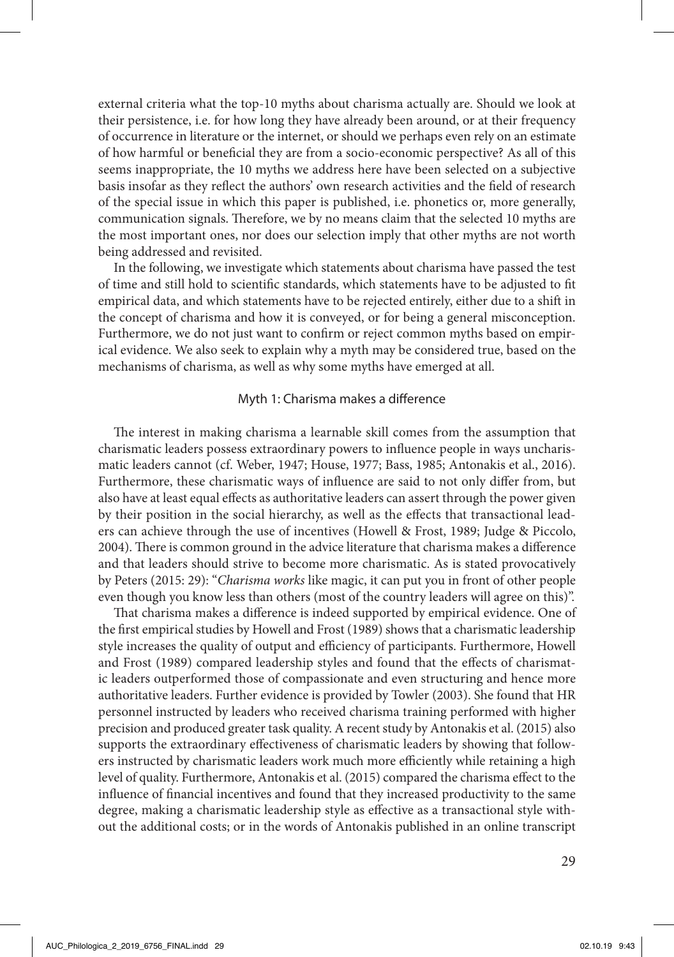external criteria what the top-10 myths about charisma actually are. Should we look at their persistence, i.e. for how long they have already been around, or at their frequency of occurrence in literature or the internet, or should we perhaps even rely on an estimate of how harmful or beneficial they are from a socio-economic perspective? As all of this seems inappropriate, the 10 myths we address here have been selected on a subjective basis insofar as they reflect the authors' own research activities and the field of research of the special issue in which this paper is published, i.e. phonetics or, more generally, communication signals. Therefore, we by no means claim that the selected 10 myths are the most important ones, nor does our selection imply that other myths are not worth being addressed and revisited.

In the following, we investigate which statements about charisma have passed the test of time and still hold to scientific standards, which statements have to be adjusted to fit empirical data, and which statements have to be rejected entirely, either due to a shift in the concept of charisma and how it is conveyed, or for being a general misconception. Furthermore, we do not just want to confirm or reject common myths based on empirical evidence. We also seek to explain why a myth may be considered true, based on the mechanisms of charisma, as well as why some myths have emerged at all.

## Myth 1: Charisma makes a difference

The interest in making charisma a learnable skill comes from the assumption that charismatic leaders possess extraordinary powers to influence people in ways uncharismatic leaders cannot (cf. Weber, 1947; House, 1977; Bass, 1985; Antonakis et al., 2016). Furthermore, these charismatic ways of influence are said to not only differ from, but also have at least equal effects as authoritative leaders can assert through the power given by their position in the social hierarchy, as well as the effects that transactional leaders can achieve through the use of incentives (Howell & Frost, 1989; Judge & Piccolo, 2004). There is common ground in the advice literature that charisma makes a difference and that leaders should strive to become more charismatic. As is stated provocatively by Peters (2015: 29): "*Charisma works* like magic, it can put you in front of other people even though you know less than others (most of the country leaders will agree on this)".

That charisma makes a difference is indeed supported by empirical evidence. One of the first empirical studies by Howell and Frost (1989) shows that a charismatic leadership style increases the quality of output and efficiency of participants. Furthermore, Howell and Frost (1989) compared leadership styles and found that the effects of charismatic leaders outperformed those of compassionate and even structuring and hence more authoritative leaders. Further evidence is provided by Towler (2003). She found that HR personnel instructed by leaders who received charisma training performed with higher precision and produced greater task quality. A recent study by Antonakis et al. (2015) also supports the extraordinary effectiveness of charismatic leaders by showing that followers instructed by charismatic leaders work much more efficiently while retaining a high level of quality. Furthermore, Antonakis et al. (2015) compared the charisma effect to the influence of financial incentives and found that they increased productivity to the same degree, making a charismatic leadership style as effective as a transactional style without the additional costs; or in the words of Antonakis published in an online transcript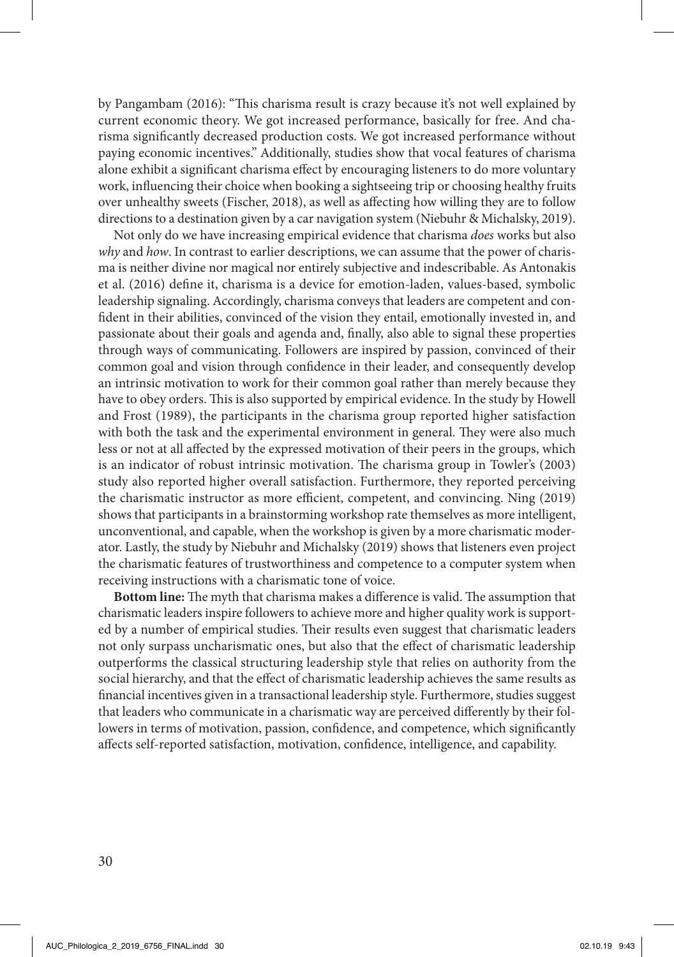by Pangambam (2016): "This charisma result is crazy because it's not well explained by current economic theory. We got increased performance, basically for free. And charisma significantly decreased production costs. We got increased performance without paying economic incentives." Additionally, studies show that vocal features of charisma alone exhibit a significant charisma effect by encouraging listeners to do more voluntary work, influencing their choice when booking a sightseeing trip or choosing healthy fruits over unhealthy sweets (Fischer, 2018), as well as affecting how willing they are to follow directions to a destination given by a car navigation system (Niebuhr & Michalsky, 2019).

Not only do we have increasing empirical evidence that charisma *does* works but also *why* and *how*. In contrast to earlier descriptions, we can assume that the power of charisma is neither divine nor magical nor entirely subjective and indescribable. As Antonakis et al. (2016) define it, charisma is a device for emotion-laden, values-based, symbolic leadership signaling. Accordingly, charisma conveys that leaders are competent and confident in their abilities, convinced of the vision they entail, emotionally invested in, and passionate about their goals and agenda and, finally, also able to signal these properties through ways of communicating. Followers are inspired by passion, convinced of their common goal and vision through confidence in their leader, and consequently develop an intrinsic motivation to work for their common goal rather than merely because they have to obey orders. This is also supported by empirical evidence. In the study by Howell and Frost (1989), the participants in the charisma group reported higher satisfaction with both the task and the experimental environment in general. They were also much less or not at all affected by the expressed motivation of their peers in the groups, which is an indicator of robust intrinsic motivation. The charisma group in Towler's (2003) study also reported higher overall satisfaction. Furthermore, they reported perceiving the charismatic instructor as more efficient, competent, and convincing. Ning (2019) shows that participants in a brainstorming workshop rate themselves as more intelligent, unconventional, and capable, when the workshop is given by a more charismatic moderator. Lastly, the study by Niebuhr and Michalsky (2019) shows that listeners even project the charismatic features of trustworthiness and competence to a computer system when receiving instructions with a charismatic tone of voice.

**Bottom line:** The myth that charisma makes a difference is valid. The assumption that charismatic leaders inspire followers to achieve more and higher quality work is supported by a number of empirical studies. Their results even suggest that charismatic leaders not only surpass uncharismatic ones, but also that the effect of charismatic leadership outperforms the classical structuring leadership style that relies on authority from the social hierarchy, and that the effect of charismatic leadership achieves the same results as financial incentives given in a transactional leadership style. Furthermore, studies suggest that leaders who communicate in a charismatic way are perceived differently by their followers in terms of motivation, passion, confidence, and competence, which significantly affects self-reported satisfaction, motivation, confidence, intelligence, and capability.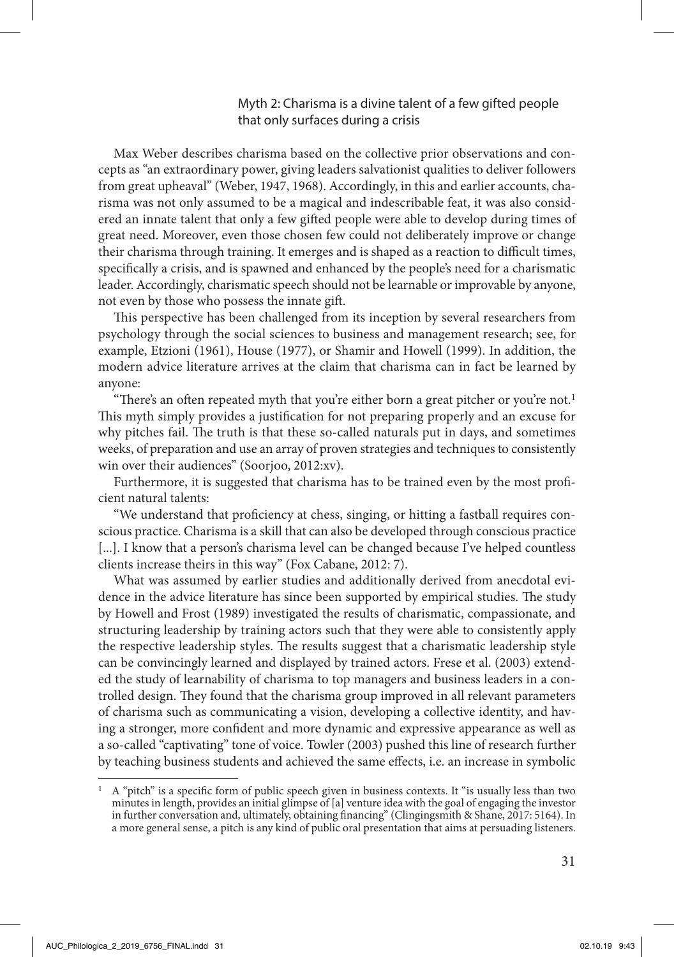## Myth 2: Charisma is a divine talent of a few gifted people that only surfaces during a crisis

Max Weber describes charisma based on the collective prior observations and concepts as "an extraordinary power, giving leaders salvationist qualities to deliver followers from great upheaval" (Weber, 1947, 1968). Accordingly, in this and earlier accounts, charisma was not only assumed to be a magical and indescribable feat, it was also considered an innate talent that only a few gifted people were able to develop during times of great need. Moreover, even those chosen few could not deliberately improve or change their charisma through training. It emerges and is shaped as a reaction to difficult times, specifically a crisis, and is spawned and enhanced by the people's need for a charismatic leader. Accordingly, charismatic speech should not be learnable or improvable by anyone, not even by those who possess the innate gift.

This perspective has been challenged from its inception by several researchers from psychology through the social sciences to business and management research; see, for example, Etzioni (1961), House (1977), or Shamir and Howell (1999). In addition, the modern advice literature arrives at the claim that charisma can in fact be learned by anyone:

"There's an often repeated myth that you're either born a great pitcher or you're not.<sup>1</sup> This myth simply provides a justification for not preparing properly and an excuse for why pitches fail. The truth is that these so-called naturals put in days, and sometimes weeks, of preparation and use an array of proven strategies and techniques to consistently win over their audiences" (Soorjoo, 2012:xv).

Furthermore, it is suggested that charisma has to be trained even by the most proficient natural talents:

"We understand that proficiency at chess, singing, or hitting a fastball requires conscious practice. Charisma is a skill that can also be developed through conscious practice [...]. I know that a person's charisma level can be changed because I've helped countless clients increase theirs in this way" (Fox Cabane, 2012: 7).

What was assumed by earlier studies and additionally derived from anecdotal evidence in the advice literature has since been supported by empirical studies. The study by Howell and Frost (1989) investigated the results of charismatic, compassionate, and structuring leadership by training actors such that they were able to consistently apply the respective leadership styles. The results suggest that a charismatic leadership style can be convincingly learned and displayed by trained actors. Frese et al. (2003) extended the study of learnability of charisma to top managers and business leaders in a controlled design. They found that the charisma group improved in all relevant parameters of charisma such as communicating a vision, developing a collective identity, and having a stronger, more confident and more dynamic and expressive appearance as well as a so-called "captivating" tone of voice. Towler (2003) pushed this line of research further by teaching business students and achieved the same effects, i.e. an increase in symbolic

<sup>1</sup> A "pitch" is a specific form of public speech given in business contexts. It "is usually less than two minutes in length, provides an initial glimpse of [a] venture idea with the goal of engaging the investor in further conversation and, ultimately, obtaining financing" (Clingingsmith & Shane, 2017: 5164). In a more general sense, a pitch is any kind of public oral presentation that aims at persuading listeners.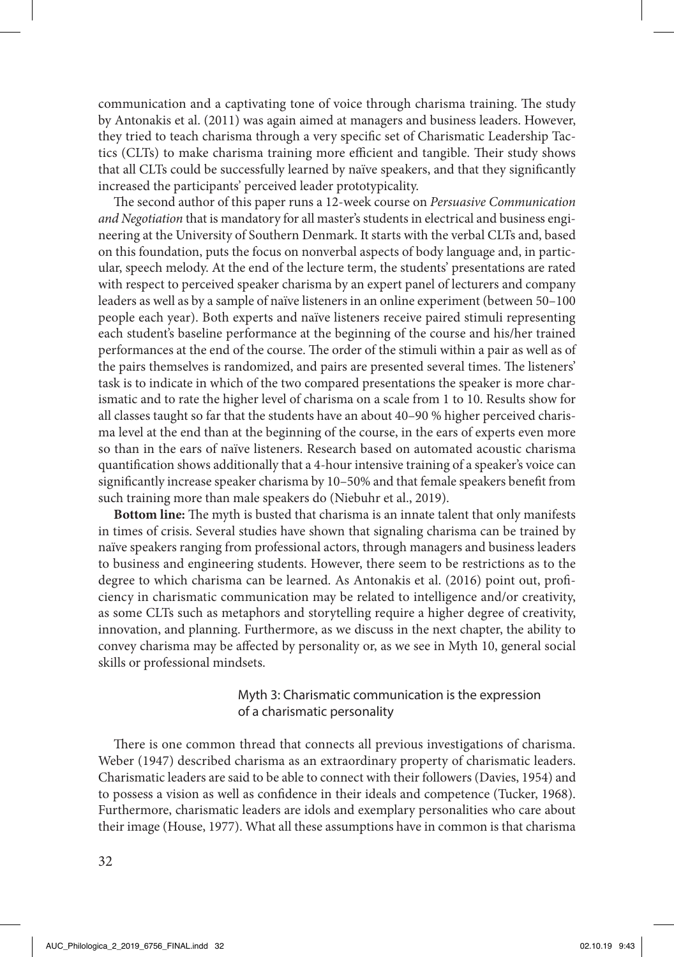communication and a captivating tone of voice through charisma training. The study by Antonakis et al. (2011) was again aimed at managers and business leaders. However, they tried to teach charisma through a very specific set of Charismatic Leadership Tactics (CLTs) to make charisma training more efficient and tangible. Their study shows that all CLTs could be successfully learned by naïve speakers, and that they significantly increased the participants' perceived leader prototypicality.

The second author of this paper runs a 12-week course on *Persuasive Communication and Negotiation* that is mandatory for all master's students in electrical and business engineering at the University of Southern Denmark. It starts with the verbal CLTs and, based on this foundation, puts the focus on nonverbal aspects of body language and, in particular, speech melody. At the end of the lecture term, the students' presentations are rated with respect to perceived speaker charisma by an expert panel of lecturers and company leaders as well as by a sample of naïve listeners in an online experiment (between 50–100 people each year). Both experts and naïve listeners receive paired stimuli representing each student's baseline performance at the beginning of the course and his/her trained performances at the end of the course. The order of the stimuli within a pair as well as of the pairs themselves is randomized, and pairs are presented several times. The listeners' task is to indicate in which of the two compared presentations the speaker is more charismatic and to rate the higher level of charisma on a scale from 1 to 10. Results show for all classes taught so far that the students have an about 40–90 % higher perceived charisma level at the end than at the beginning of the course, in the ears of experts even more so than in the ears of naïve listeners. Research based on automated acoustic charisma quantification shows additionally that a 4-hour intensive training of a speaker's voice can significantly increase speaker charisma by 10–50% and that female speakers benefit from such training more than male speakers do (Niebuhr et al., 2019).

**Bottom line:** The myth is busted that charisma is an innate talent that only manifests in times of crisis. Several studies have shown that signaling charisma can be trained by naïve speakers ranging from professional actors, through managers and business leaders to business and engineering students. However, there seem to be restrictions as to the degree to which charisma can be learned. As Antonakis et al. (2016) point out, proficiency in charismatic communication may be related to intelligence and/or creativity, as some CLTs such as metaphors and storytelling require a higher degree of creativity, innovation, and planning. Furthermore, as we discuss in the next chapter, the ability to convey charisma may be affected by personality or, as we see in Myth 10, general social skills or professional mindsets.

# Myth 3: Charismatic communication is the expression of a charismatic personality

There is one common thread that connects all previous investigations of charisma. Weber (1947) described charisma as an extraordinary property of charismatic leaders. Charismatic leaders are said to be able to connect with their followers (Davies, 1954) and to possess a vision as well as confidence in their ideals and competence (Tucker, 1968). Furthermore, charismatic leaders are idols and exemplary personalities who care about their image (House, 1977). What all these assumptions have in common is that charisma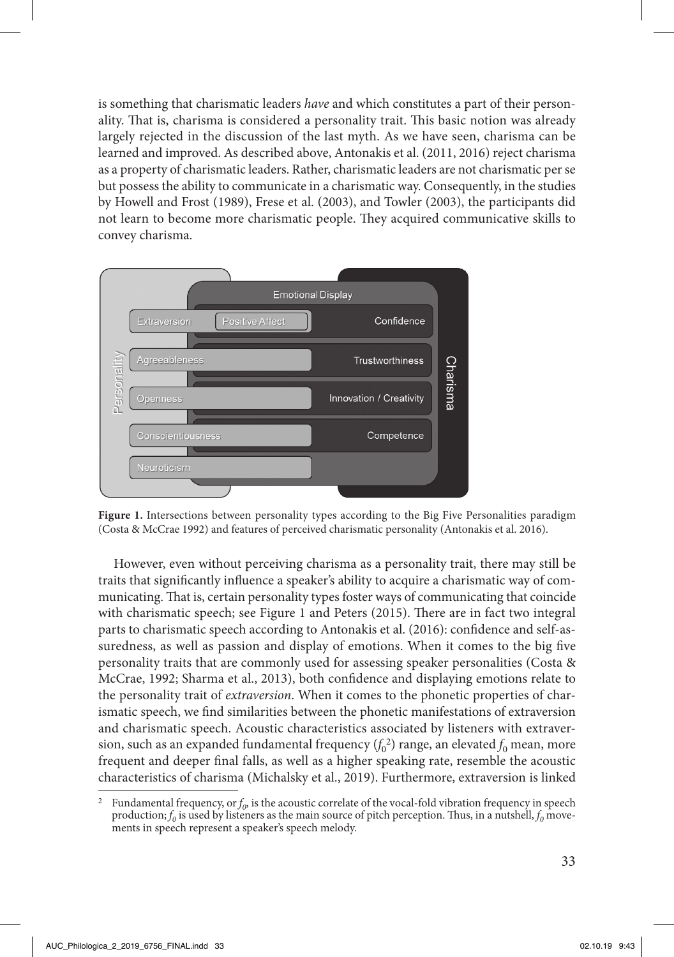is something that charismatic leaders *have* and which constitutes a part of their personality. That is, charisma is considered a personality trait. This basic notion was already largely rejected in the discussion of the last myth. As we have seen, charisma can be learned and improved. As described above, Antonakis et al. (2011, 2016) reject charisma as a property of charismatic leaders. Rather, charismatic leaders are not charismatic per se but possess the ability to communicate in a charismatic way. Consequently, in the studies by Howell and Frost (1989), Frese et al. (2003), and Towler (2003), the participants did not learn to become more charismatic people. They acquired communicative skills to convey charisma.



**Figure 1.** Intersections between personality types according to the Big Five Personalities paradigm (Costa & McCrae 1992) and features of perceived charismatic personality (Antonakis et al. 2016).

However, even without perceiving charisma as a personality trait, there may still be traits that significantly influence a speaker's ability to acquire a charismatic way of communicating. That is, certain personality types foster ways of communicating that coincide with charismatic speech; see Figure 1 and Peters (2015). There are in fact two integral parts to charismatic speech according to Antonakis et al. (2016): confidence and self-assuredness, as well as passion and display of emotions. When it comes to the big five personality traits that are commonly used for assessing speaker personalities (Costa & McCrae, 1992; Sharma et al., 2013), both confidence and displaying emotions relate to the personality trait of *extraversion*. When it comes to the phonetic properties of charismatic speech, we find similarities between the phonetic manifestations of extraversion and charismatic speech. Acoustic characteristics associated by listeners with extraversion, such as an expanded fundamental frequency  $(f_0^{\; 2})$  range, an elevated  $f_0$  mean, more frequent and deeper final falls, as well as a higher speaking rate, resemble the acoustic characteristics of charisma (Michalsky et al., 2019). Furthermore, extraversion is linked

<sup>&</sup>lt;sup>2</sup> Fundamental frequency, or  $f_0$ , is the acoustic correlate of the vocal-fold vibration frequency in speech production;  $f_0$  is used by listeners as the main source of pitch perception. Thus, in a nutshell,  $f_0$  movements in speech represent a speaker's speech melody.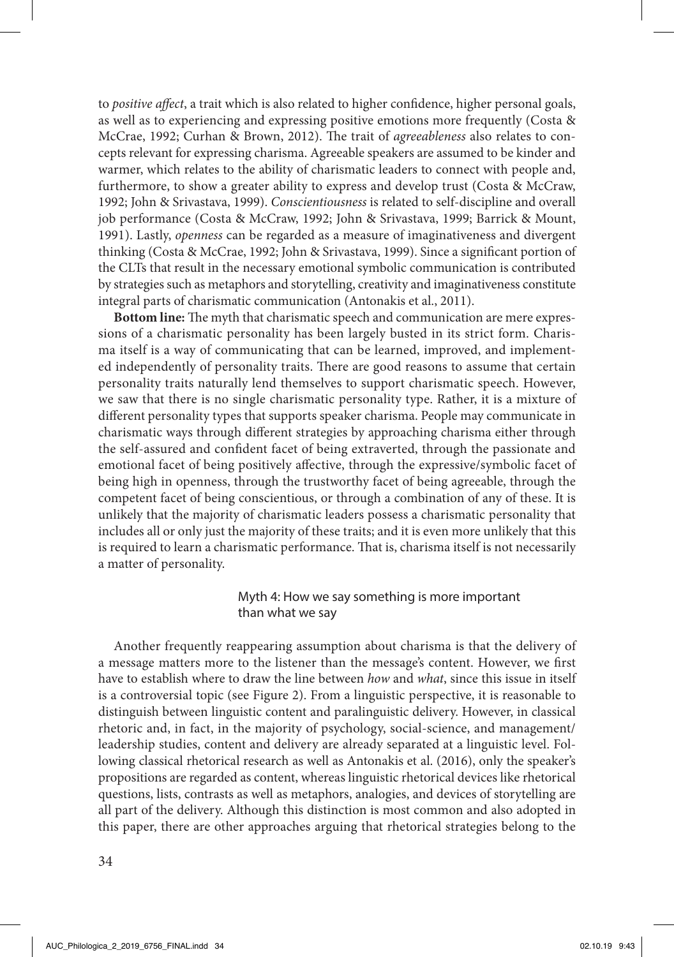to *positive affect*, a trait which is also related to higher confidence, higher personal goals, as well as to experiencing and expressing positive emotions more frequently (Costa & McCrae, 1992; Curhan & Brown, 2012). The trait of *agreeableness* also relates to concepts relevant for expressing charisma. Agreeable speakers are assumed to be kinder and warmer, which relates to the ability of charismatic leaders to connect with people and, furthermore, to show a greater ability to express and develop trust (Costa & McCraw, 1992; John & Srivastava, 1999). *Conscientiousness* is related to self-discipline and overall job performance (Costa & McCraw, 1992; John & Srivastava, 1999; Barrick & Mount, 1991). Lastly, *openness* can be regarded as a measure of imaginativeness and divergent thinking (Costa & McCrae, 1992; John & Srivastava, 1999). Since a significant portion of the CLTs that result in the necessary emotional symbolic communication is contributed by strategies such as metaphors and storytelling, creativity and imaginativeness constitute integral parts of charismatic communication (Antonakis et al., 2011).

**Bottom line:** The myth that charismatic speech and communication are mere expressions of a charismatic personality has been largely busted in its strict form. Charisma itself is a way of communicating that can be learned, improved, and implemented independently of personality traits. There are good reasons to assume that certain personality traits naturally lend themselves to support charismatic speech. However, we saw that there is no single charismatic personality type. Rather, it is a mixture of different personality types that supports speaker charisma. People may communicate in charismatic ways through different strategies by approaching charisma either through the self-assured and confident facet of being extraverted, through the passionate and emotional facet of being positively affective, through the expressive/symbolic facet of being high in openness, through the trustworthy facet of being agreeable, through the competent facet of being conscientious, or through a combination of any of these. It is unlikely that the majority of charismatic leaders possess a charismatic personality that includes all or only just the majority of these traits; and it is even more unlikely that this is required to learn a charismatic performance. That is, charisma itself is not necessarily a matter of personality.

# Myth 4: How we say something is more important than what we say

Another frequently reappearing assumption about charisma is that the delivery of a message matters more to the listener than the message's content. However, we first have to establish where to draw the line between *how* and *what*, since this issue in itself is a controversial topic (see Figure 2). From a linguistic perspective, it is reasonable to distinguish between linguistic content and paralinguistic delivery. However, in classical rhetoric and, in fact, in the majority of psychology, social-science, and management/ leadership studies, content and delivery are already separated at a linguistic level. Following classical rhetorical research as well as Antonakis et al. (2016), only the speaker's propositions are regarded as content, whereas linguistic rhetorical devices like rhetorical questions, lists, contrasts as well as metaphors, analogies, and devices of storytelling are all part of the delivery. Although this distinction is most common and also adopted in this paper, there are other approaches arguing that rhetorical strategies belong to the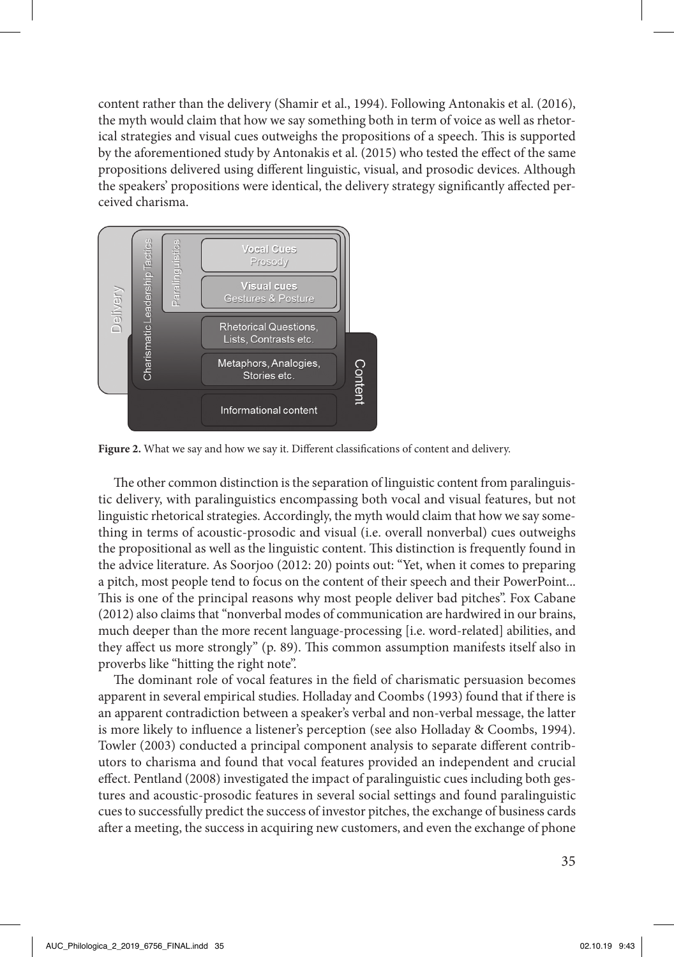content rather than the delivery (Shamir et al., 1994). Following Antonakis et al. (2016), the myth would claim that how we say something both in term of voice as well as rhetorical strategies and visual cues outweighs the propositions of a speech. This is supported by the aforementioned study by Antonakis et al. (2015) who tested the effect of the same propositions delivered using different linguistic, visual, and prosodic devices. Although the speakers' propositions were identical, the delivery strategy significantly affected perceived charisma.



Figure 2. What we say and how we say it. Different classifications of content and delivery.

The other common distinction is the separation of linguistic content from paralinguistic delivery, with paralinguistics encompassing both vocal and visual features, but not linguistic rhetorical strategies. Accordingly, the myth would claim that how we say something in terms of acoustic-prosodic and visual (i.e. overall nonverbal) cues outweighs the propositional as well as the linguistic content. This distinction is frequently found in the advice literature. As Soorjoo (2012: 20) points out: "Yet, when it comes to preparing a pitch, most people tend to focus on the content of their speech and their PowerPoint... This is one of the principal reasons why most people deliver bad pitches". Fox Cabane (2012) also claims that "nonverbal modes of communication are hardwired in our brains, much deeper than the more recent language-processing [i.e. word-related] abilities, and they affect us more strongly" (p. 89). This common assumption manifests itself also in proverbs like "hitting the right note".

The dominant role of vocal features in the field of charismatic persuasion becomes apparent in several empirical studies. Holladay and Coombs (1993) found that if there is an apparent contradiction between a speaker's verbal and non-verbal message, the latter is more likely to influence a listener's perception (see also Holladay & Coombs, 1994). Towler (2003) conducted a principal component analysis to separate different contributors to charisma and found that vocal features provided an independent and crucial effect. Pentland (2008) investigated the impact of paralinguistic cues including both gestures and acoustic-prosodic features in several social settings and found paralinguistic cues to successfully predict the success of investor pitches, the exchange of business cards after a meeting, the success in acquiring new customers, and even the exchange of phone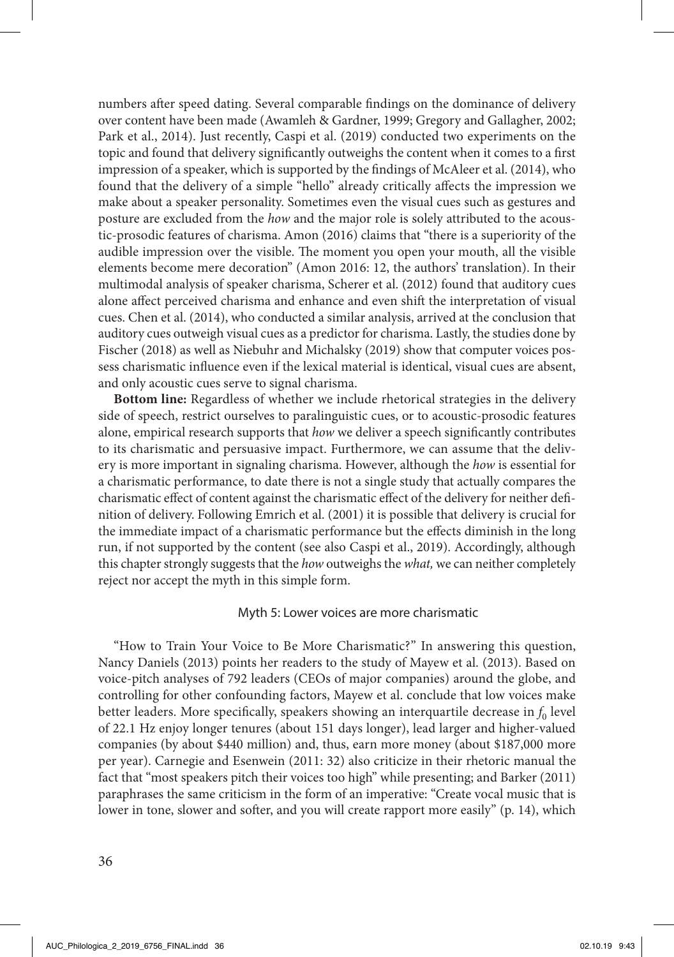numbers after speed dating. Several comparable findings on the dominance of delivery over content have been made (Awamleh & Gardner, 1999; Gregory and Gallagher, 2002; Park et al., 2014). Just recently, Caspi et al. (2019) conducted two experiments on the topic and found that delivery significantly outweighs the content when it comes to a first impression of a speaker, which is supported by the findings of McAleer et al. (2014), who found that the delivery of a simple "hello" already critically affects the impression we make about a speaker personality. Sometimes even the visual cues such as gestures and posture are excluded from the *how* and the major role is solely attributed to the acoustic-prosodic features of charisma. Amon (2016) claims that "there is a superiority of the audible impression over the visible. The moment you open your mouth, all the visible elements become mere decoration" (Amon 2016: 12, the authors' translation). In their multimodal analysis of speaker charisma, Scherer et al. (2012) found that auditory cues alone affect perceived charisma and enhance and even shift the interpretation of visual cues. Chen et al. (2014), who conducted a similar analysis, arrived at the conclusion that auditory cues outweigh visual cues as a predictor for charisma. Lastly, the studies done by Fischer (2018) as well as Niebuhr and Michalsky (2019) show that computer voices possess charismatic influence even if the lexical material is identical, visual cues are absent, and only acoustic cues serve to signal charisma.

**Bottom line:** Regardless of whether we include rhetorical strategies in the delivery side of speech, restrict ourselves to paralinguistic cues, or to acoustic-prosodic features alone, empirical research supports that *how* we deliver a speech significantly contributes to its charismatic and persuasive impact. Furthermore, we can assume that the delivery is more important in signaling charisma. However, although the *how* is essential for a charismatic performance, to date there is not a single study that actually compares the charismatic effect of content against the charismatic effect of the delivery for neither definition of delivery. Following Emrich et al. (2001) it is possible that delivery is crucial for the immediate impact of a charismatic performance but the effects diminish in the long run, if not supported by the content (see also Caspi et al., 2019). Accordingly, although this chapter strongly suggests that the *how* outweighs the *what,* we can neither completely reject nor accept the myth in this simple form.

### Myth 5: Lower voices are more charismatic

"How to Train Your Voice to Be More Charismatic?" In answering this question, Nancy Daniels (2013) points her readers to the study of Mayew et al. (2013). Based on voice-pitch analyses of 792 leaders (CEOs of major companies) around the globe, and controlling for other confounding factors, Mayew et al. conclude that low voices make better leaders. More specifically, speakers showing an interquartile decrease in  $f_0$  level of 22.1 Hz enjoy longer tenures (about 151 days longer), lead larger and higher-valued companies (by about \$440 million) and, thus, earn more money (about \$187,000 more per year). Carnegie and Esenwein (2011: 32) also criticize in their rhetoric manual the fact that "most speakers pitch their voices too high" while presenting; and Barker (2011) paraphrases the same criticism in the form of an imperative: "Create vocal music that is lower in tone, slower and softer, and you will create rapport more easily" (p. 14), which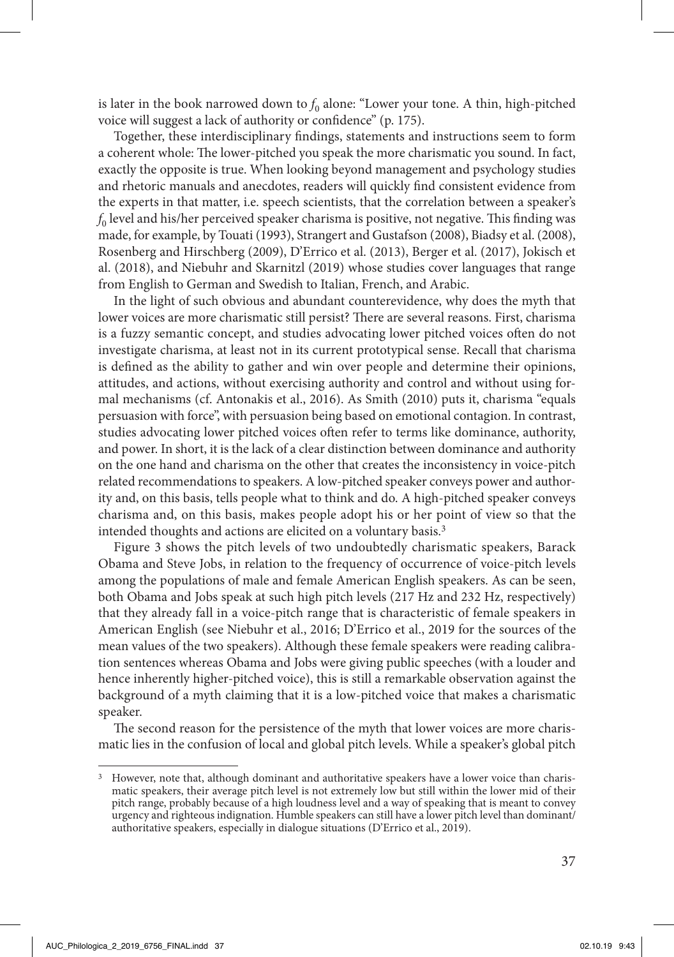is later in the book narrowed down to  $f_0$  alone: "Lower your tone. A thin, high-pitched voice will suggest a lack of authority or confidence" (p. 175).

Together, these interdisciplinary findings, statements and instructions seem to form a coherent whole: The lower-pitched you speak the more charismatic you sound. In fact, exactly the opposite is true. When looking beyond management and psychology studies and rhetoric manuals and anecdotes, readers will quickly find consistent evidence from the experts in that matter, i.e. speech scientists, that the correlation between a speaker's  $f_0$  level and his/her perceived speaker charisma is positive, not negative. This finding was made, for example, by Touati (1993), Strangert and Gustafson (2008), Biadsy et al. (2008), Rosenberg and Hirschberg (2009), D'Errico et al. (2013), Berger et al. (2017), Jokisch et al. (2018), and Niebuhr and Skarnitzl (2019) whose studies cover languages that range from English to German and Swedish to Italian, French, and Arabic.

In the light of such obvious and abundant counterevidence, why does the myth that lower voices are more charismatic still persist? There are several reasons. First, charisma is a fuzzy semantic concept, and studies advocating lower pitched voices often do not investigate charisma, at least not in its current prototypical sense. Recall that charisma is defined as the ability to gather and win over people and determine their opinions, attitudes, and actions, without exercising authority and control and without using formal mechanisms (cf. Antonakis et al., 2016). As Smith (2010) puts it, charisma "equals persuasion with force", with persuasion being based on emotional contagion. In contrast, studies advocating lower pitched voices often refer to terms like dominance, authority, and power. In short, it is the lack of a clear distinction between dominance and authority on the one hand and charisma on the other that creates the inconsistency in voice-pitch related recommendations to speakers. A low-pitched speaker conveys power and authority and, on this basis, tells people what to think and do. A high-pitched speaker conveys charisma and, on this basis, makes people adopt his or her point of view so that the intended thoughts and actions are elicited on a voluntary basis.3

Figure 3 shows the pitch levels of two undoubtedly charismatic speakers, Barack Obama and Steve Jobs, in relation to the frequency of occurrence of voice-pitch levels among the populations of male and female American English speakers. As can be seen, both Obama and Jobs speak at such high pitch levels (217 Hz and 232 Hz, respectively) that they already fall in a voice-pitch range that is characteristic of female speakers in American English (see Niebuhr et al., 2016; D'Errico et al., 2019 for the sources of the mean values of the two speakers). Although these female speakers were reading calibration sentences whereas Obama and Jobs were giving public speeches (with a louder and hence inherently higher-pitched voice), this is still a remarkable observation against the background of a myth claiming that it is a low-pitched voice that makes a charismatic speaker.

The second reason for the persistence of the myth that lower voices are more charismatic lies in the confusion of local and global pitch levels. While a speaker's global pitch

<sup>&</sup>lt;sup>3</sup> However, note that, although dominant and authoritative speakers have a lower voice than charismatic speakers, their average pitch level is not extremely low but still within the lower mid of their pitch range, probably because of a high loudness level and a way of speaking that is meant to convey urgency and righteous indignation. Humble speakers can still have a lower pitch level than dominant/ authoritative speakers, especially in dialogue situations (D'Errico et al., 2019).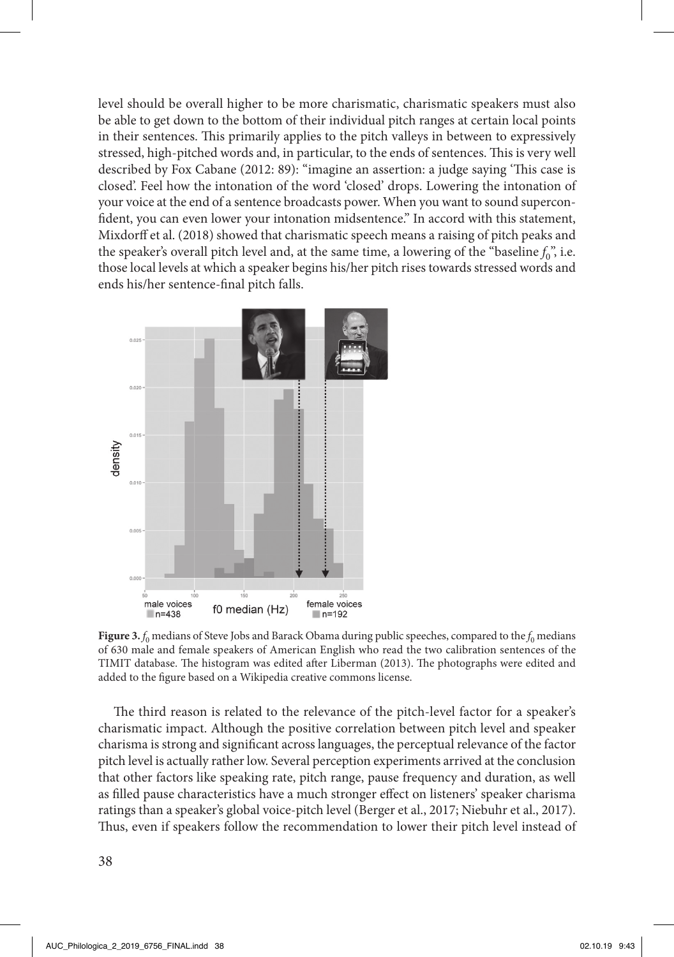level should be overall higher to be more charismatic, charismatic speakers must also be able to get down to the bottom of their individual pitch ranges at certain local points in their sentences. This primarily applies to the pitch valleys in between to expressively stressed, high-pitched words and, in particular, to the ends of sentences. This is very well described by Fox Cabane (2012: 89): "imagine an assertion: a judge saying 'This case is closed'. Feel how the intonation of the word 'closed' drops. Lowering the intonation of your voice at the end of a sentence broadcasts power. When you want to sound superconfident, you can even lower your intonation midsentence." In accord with this statement, Mixdorff et al. (2018) showed that charismatic speech means a raising of pitch peaks and the speaker's overall pitch level and, at the same time, a lowering of the "baseline  $f_0$ ", i.e. those local levels at which a speaker begins his/her pitch rises towards stressed words and ends his/her sentence-final pitch falls.



**Figure 3.**  $f_0$  medians of Steve Jobs and Barack Obama during public speeches, compared to the  $f_0$  medians of 630 male and female speakers of American English who read the two calibration sentences of the TIMIT database. The histogram was edited after Liberman (2013). The photographs were edited and added to the figure based on a Wikipedia creative commons license.

The third reason is related to the relevance of the pitch-level factor for a speaker's charismatic impact. Although the positive correlation between pitch level and speaker charisma is strong and significant across languages, the perceptual relevance of the factor pitch level is actually rather low. Several perception experiments arrived at the conclusion that other factors like speaking rate, pitch range, pause frequency and duration, as well as filled pause characteristics have a much stronger effect on listeners' speaker charisma ratings than a speaker's global voice-pitch level (Berger et al., 2017; Niebuhr et al., 2017). Thus, even if speakers follow the recommendation to lower their pitch level instead of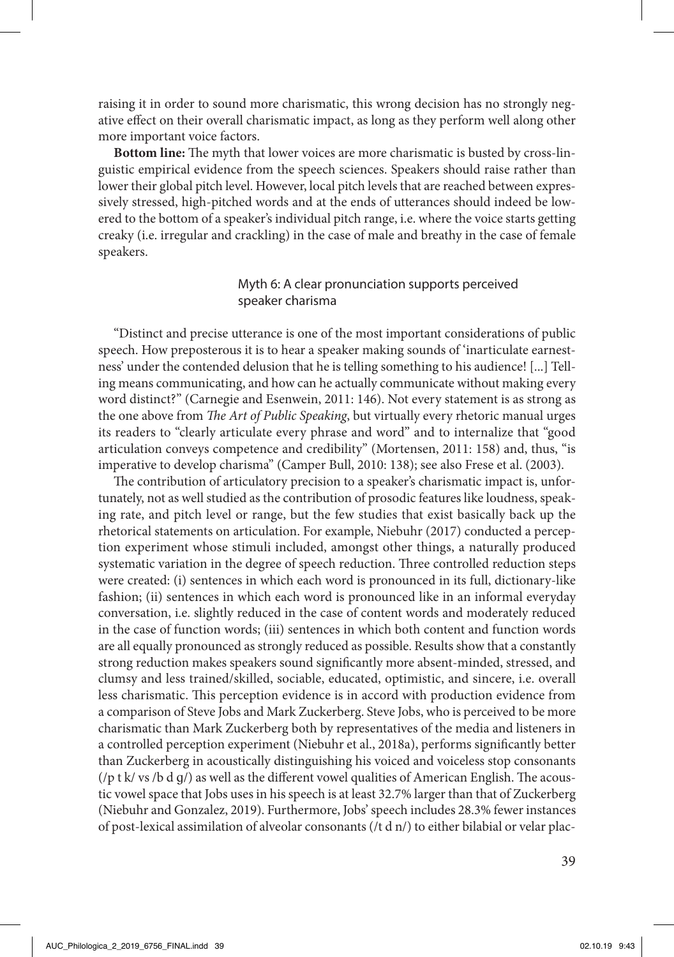raising it in order to sound more charismatic, this wrong decision has no strongly negative effect on their overall charismatic impact, as long as they perform well along other more important voice factors.

**Bottom line:** The myth that lower voices are more charismatic is busted by cross-linguistic empirical evidence from the speech sciences. Speakers should raise rather than lower their global pitch level. However, local pitch levels that are reached between expressively stressed, high-pitched words and at the ends of utterances should indeed be lowered to the bottom of a speaker's individual pitch range, i.e. where the voice starts getting creaky (i.e. irregular and crackling) in the case of male and breathy in the case of female speakers.

# Myth 6: A clear pronunciation supports perceived speaker charisma

"Distinct and precise utterance is one of the most important considerations of public speech. How preposterous it is to hear a speaker making sounds of 'inarticulate earnestness' under the contended delusion that he is telling something to his audience! [...] Telling means communicating, and how can he actually communicate without making every word distinct?" (Carnegie and Esenwein, 2011: 146). Not every statement is as strong as the one above from *The Art of Public Speaking*, but virtually every rhetoric manual urges its readers to "clearly articulate every phrase and word" and to internalize that "good articulation conveys competence and credibility" (Mortensen, 2011: 158) and, thus, "is imperative to develop charisma" (Camper Bull, 2010: 138); see also Frese et al. (2003).

The contribution of articulatory precision to a speaker's charismatic impact is, unfortunately, not as well studied as the contribution of prosodic features like loudness, speaking rate, and pitch level or range, but the few studies that exist basically back up the rhetorical statements on articulation. For example, Niebuhr (2017) conducted a perception experiment whose stimuli included, amongst other things, a naturally produced systematic variation in the degree of speech reduction. Three controlled reduction steps were created: (i) sentences in which each word is pronounced in its full, dictionary-like fashion; (ii) sentences in which each word is pronounced like in an informal everyday conversation, i.e. slightly reduced in the case of content words and moderately reduced in the case of function words; (iii) sentences in which both content and function words are all equally pronounced as strongly reduced as possible. Results show that a constantly strong reduction makes speakers sound significantly more absent-minded, stressed, and clumsy and less trained/skilled, sociable, educated, optimistic, and sincere, i.e. overall less charismatic. This perception evidence is in accord with production evidence from a comparison of Steve Jobs and Mark Zuckerberg. Steve Jobs, who is perceived to be more charismatic than Mark Zuckerberg both by representatives of the media and listeners in a controlled perception experiment (Niebuhr et al., 2018a), performs significantly better than Zuckerberg in acoustically distinguishing his voiced and voiceless stop consonants ( $\pi$  t k/ vs /b d g/) as well as the different vowel qualities of American English. The acoustic vowel space that Jobs uses in his speech is at least 32.7% larger than that of Zuckerberg (Niebuhr and Gonzalez, 2019). Furthermore, Jobs' speech includes 28.3% fewer instances of post-lexical assimilation of alveolar consonants ( $/t$  d  $n$ ) to either bilabial or velar plac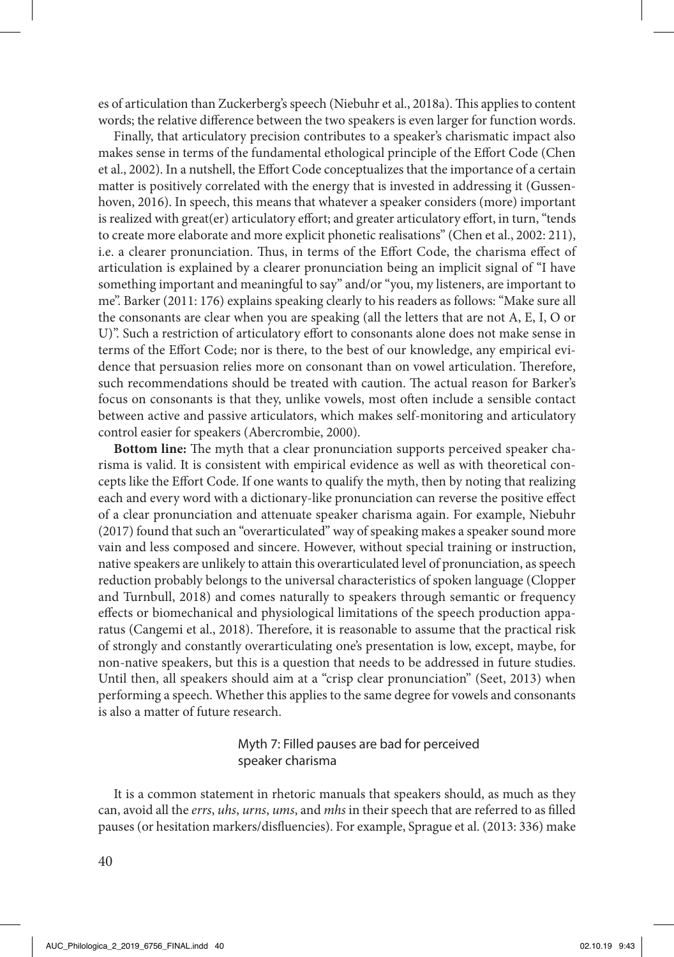es of articulation than Zuckerberg's speech (Niebuhr et al., 2018a). This applies to content words; the relative difference between the two speakers is even larger for function words.

Finally, that articulatory precision contributes to a speaker's charismatic impact also makes sense in terms of the fundamental ethological principle of the Effort Code (Chen et al., 2002). In a nutshell, the Effort Code conceptualizes that the importance of a certain matter is positively correlated with the energy that is invested in addressing it (Gussenhoven, 2016). In speech, this means that whatever a speaker considers (more) important is realized with great(er) articulatory effort; and greater articulatory effort, in turn, "tends to create more elaborate and more explicit phonetic realisations" (Chen et al., 2002: 211), i.e. a clearer pronunciation. Thus, in terms of the Effort Code, the charisma effect of articulation is explained by a clearer pronunciation being an implicit signal of "I have something important and meaningful to say" and/or "you, my listeners, are important to me". Barker (2011: 176) explains speaking clearly to his readers as follows: "Make sure all the consonants are clear when you are speaking (all the letters that are not A, E, I, O or U)". Such a restriction of articulatory effort to consonants alone does not make sense in terms of the Effort Code; nor is there, to the best of our knowledge, any empirical evidence that persuasion relies more on consonant than on vowel articulation. Therefore, such recommendations should be treated with caution. The actual reason for Barker's focus on consonants is that they, unlike vowels, most often include a sensible contact between active and passive articulators, which makes self-monitoring and articulatory control easier for speakers (Abercrombie, 2000).

**Bottom line:** The myth that a clear pronunciation supports perceived speaker charisma is valid. It is consistent with empirical evidence as well as with theoretical concepts like the Effort Code. If one wants to qualify the myth, then by noting that realizing each and every word with a dictionary-like pronunciation can reverse the positive effect of a clear pronunciation and attenuate speaker charisma again. For example, Niebuhr (2017) found that such an "overarticulated" way of speaking makes a speaker sound more vain and less composed and sincere. However, without special training or instruction, native speakers are unlikely to attain this overarticulated level of pronunciation, as speech reduction probably belongs to the universal characteristics of spoken language (Clopper and Turnbull, 2018) and comes naturally to speakers through semantic or frequency effects or biomechanical and physiological limitations of the speech production apparatus (Cangemi et al., 2018). Therefore, it is reasonable to assume that the practical risk of strongly and constantly overarticulating one's presentation is low, except, maybe, for non-native speakers, but this is a question that needs to be addressed in future studies. Until then, all speakers should aim at a "crisp clear pronunciation" (Seet, 2013) when performing a speech. Whether this applies to the same degree for vowels and consonants is also a matter of future research.

# Myth 7: Filled pauses are bad for perceived speaker charisma

It is a common statement in rhetoric manuals that speakers should, as much as they can, avoid all the *errs*, *uhs*, *urns*, *ums*, and *mhs* in their speech that are referred to as filled pauses (or hesitation markers/disfluencies). For example, Sprague et al. (2013: 336) make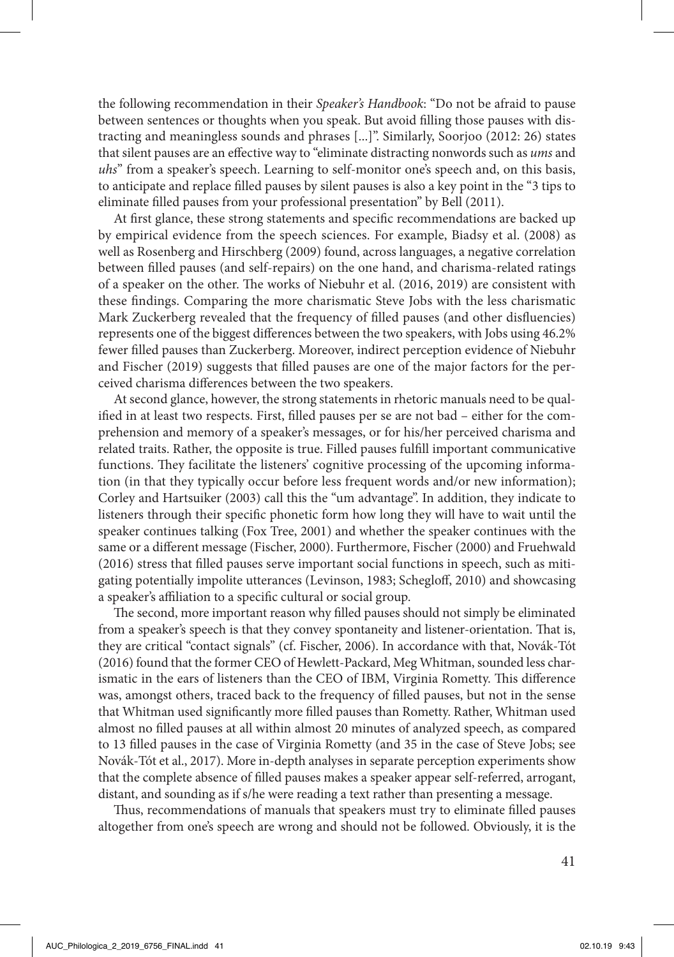the following recommendation in their *Speaker's Handbook*: "Do not be afraid to pause between sentences or thoughts when you speak. But avoid filling those pauses with distracting and meaningless sounds and phrases [...]". Similarly, Soorjoo (2012: 26) states that silent pauses are an effective way to "eliminate distracting nonwords such as *ums* and *uhs*" from a speaker's speech. Learning to self-monitor one's speech and, on this basis, to anticipate and replace filled pauses by silent pauses is also a key point in the "3 tips to eliminate filled pauses from your professional presentation" by Bell (2011).

At first glance, these strong statements and specific recommendations are backed up by empirical evidence from the speech sciences. For example, Biadsy et al. (2008) as well as Rosenberg and Hirschberg (2009) found, across languages, a negative correlation between filled pauses (and self-repairs) on the one hand, and charisma-related ratings of a speaker on the other. The works of Niebuhr et al. (2016, 2019) are consistent with these findings. Comparing the more charismatic Steve Jobs with the less charismatic Mark Zuckerberg revealed that the frequency of filled pauses (and other disfluencies) represents one of the biggest differences between the two speakers, with Jobs using 46.2% fewer filled pauses than Zuckerberg. Moreover, indirect perception evidence of Niebuhr and Fischer (2019) suggests that filled pauses are one of the major factors for the perceived charisma differences between the two speakers.

At second glance, however, the strong statements in rhetoric manuals need to be qualified in at least two respects. First, filled pauses per se are not bad – either for the comprehension and memory of a speaker's messages, or for his/her perceived charisma and related traits. Rather, the opposite is true. Filled pauses fulfill important communicative functions. They facilitate the listeners' cognitive processing of the upcoming information (in that they typically occur before less frequent words and/or new information); Corley and Hartsuiker (2003) call this the "um advantage". In addition, they indicate to listeners through their specific phonetic form how long they will have to wait until the speaker continues talking (Fox Tree, 2001) and whether the speaker continues with the same or a different message (Fischer, 2000). Furthermore, Fischer (2000) and Fruehwald (2016) stress that filled pauses serve important social functions in speech, such as mitigating potentially impolite utterances (Levinson, 1983; Schegloff, 2010) and showcasing a speaker's affiliation to a specific cultural or social group.

The second, more important reason why filled pauses should not simply be eliminated from a speaker's speech is that they convey spontaneity and listener-orientation. That is, they are critical "contact signals" (cf. Fischer, 2006). In accordance with that, Novák-Tót (2016) found that the former CEO of Hewlett-Packard, Meg Whitman, sounded less charismatic in the ears of listeners than the CEO of IBM, Virginia Rometty. This difference was, amongst others, traced back to the frequency of filled pauses, but not in the sense that Whitman used significantly more filled pauses than Rometty. Rather, Whitman used almost no filled pauses at all within almost 20 minutes of analyzed speech, as compared to 13 filled pauses in the case of Virginia Rometty (and 35 in the case of Steve Jobs; see Novák-Tót et al., 2017). More in-depth analyses in separate perception experiments show that the complete absence of filled pauses makes a speaker appear self-referred, arrogant, distant, and sounding as if s/he were reading a text rather than presenting a message.

Thus, recommendations of manuals that speakers must try to eliminate filled pauses altogether from one's speech are wrong and should not be followed. Obviously, it is the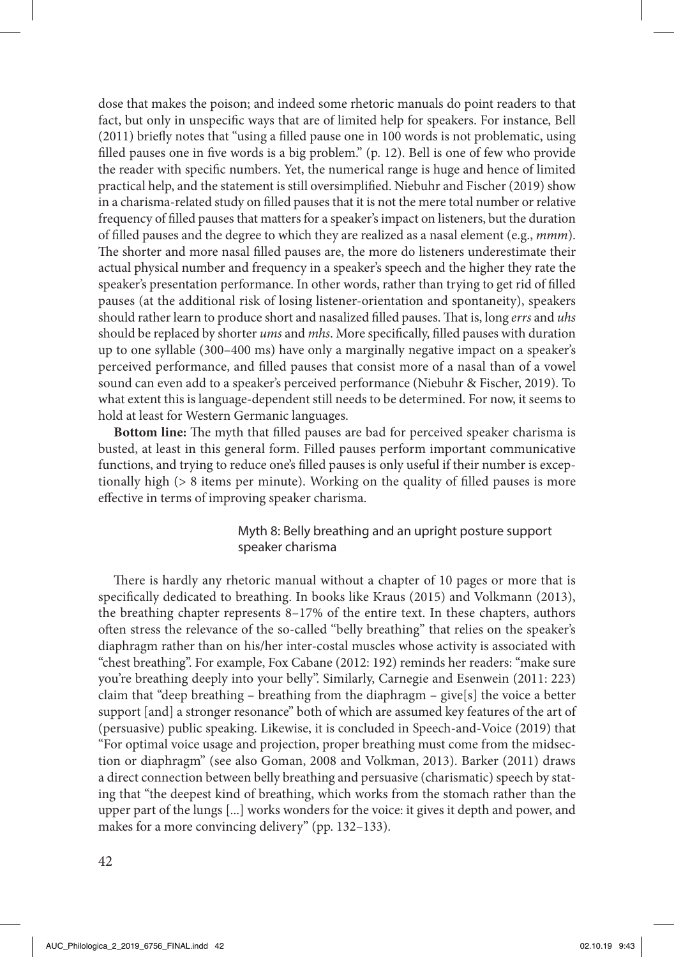dose that makes the poison; and indeed some rhetoric manuals do point readers to that fact, but only in unspecific ways that are of limited help for speakers. For instance, Bell (2011) briefly notes that "using a filled pause one in 100 words is not problematic, using filled pauses one in five words is a big problem." (p. 12). Bell is one of few who provide the reader with specific numbers. Yet, the numerical range is huge and hence of limited practical help, and the statement is still oversimplified. Niebuhr and Fischer (2019) show in a charisma-related study on filled pauses that it is not the mere total number or relative frequency of filled pauses that matters for a speaker's impact on listeners, but the duration of filled pauses and the degree to which they are realized as a nasal element (e.g., *mmm*). The shorter and more nasal filled pauses are, the more do listeners underestimate their actual physical number and frequency in a speaker's speech and the higher they rate the speaker's presentation performance. In other words, rather than trying to get rid of filled pauses (at the additional risk of losing listener-orientation and spontaneity), speakers should rather learn to produce short and nasalized filled pauses. That is, long *errs* and *uhs* should be replaced by shorter *ums* and *mhs*. More specifically, filled pauses with duration up to one syllable (300–400 ms) have only a marginally negative impact on a speaker's perceived performance, and filled pauses that consist more of a nasal than of a vowel sound can even add to a speaker's perceived performance (Niebuhr & Fischer, 2019). To what extent this is language-dependent still needs to be determined. For now, it seems to hold at least for Western Germanic languages.

**Bottom line:** The myth that filled pauses are bad for perceived speaker charisma is busted, at least in this general form. Filled pauses perform important communicative functions, and trying to reduce one's filled pauses is only useful if their number is exceptionally high (> 8 items per minute). Working on the quality of filled pauses is more effective in terms of improving speaker charisma.

# Myth 8: Belly breathing and an upright posture support speaker charisma

There is hardly any rhetoric manual without a chapter of 10 pages or more that is specifically dedicated to breathing. In books like Kraus (2015) and Volkmann (2013), the breathing chapter represents 8–17% of the entire text. In these chapters, authors often stress the relevance of the so-called "belly breathing" that relies on the speaker's diaphragm rather than on his/her inter-costal muscles whose activity is associated with "chest breathing". For example, Fox Cabane (2012: 192) reminds her readers: "make sure you're breathing deeply into your belly". Similarly, Carnegie and Esenwein (2011: 223) claim that "deep breathing – breathing from the diaphragm – give [s] the voice a better support [and] a stronger resonance" both of which are assumed key features of the art of (persuasive) public speaking. Likewise, it is concluded in Speech-and-Voice (2019) that "For optimal voice usage and projection, proper breathing must come from the midsection or diaphragm" (see also Goman, 2008 and Volkman, 2013). Barker (2011) draws a direct connection between belly breathing and persuasive (charismatic) speech by stating that "the deepest kind of breathing, which works from the stomach rather than the upper part of the lungs [...] works wonders for the voice: it gives it depth and power, and makes for a more convincing delivery" (pp. 132–133).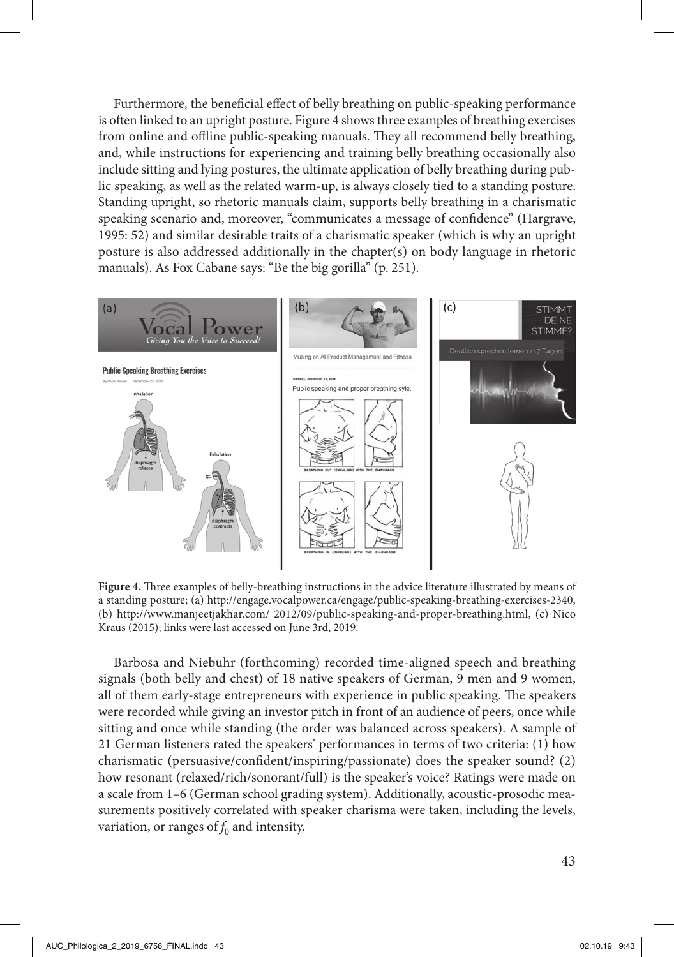Furthermore, the beneficial effect of belly breathing on public-speaking performance is often linked to an upright posture. Figure 4 shows three examples of breathing exercises from online and offline public-speaking manuals. They all recommend belly breathing, and, while instructions for experiencing and training belly breathing occasionally also include sitting and lying postures, the ultimate application of belly breathing during public speaking, as well as the related warm-up, is always closely tied to a standing posture. Standing upright, so rhetoric manuals claim, supports belly breathing in a charismatic speaking scenario and, moreover, "communicates a message of confidence" (Hargrave, 1995: 52) and similar desirable traits of a charismatic speaker (which is why an upright posture is also addressed additionally in the chapter(s) on body language in rhetoric manuals). As Fox Cabane says: "Be the big gorilla" (p. 251).



**Figure 4.** Three examples of belly-breathing instructions in the advice literature illustrated by means of a standing posture; (a) http://engage.vocalpower.ca/engage/public-speaking-breathing-exercises-2340, (b) http://www.manjeetjakhar.com/ 2012/09/public-speaking-and-proper-breathing.html, (c) Nico Kraus (2015); links were last accessed on June 3rd, 2019.

Barbosa and Niebuhr (forthcoming) recorded time-aligned speech and breathing signals (both belly and chest) of 18 native speakers of German, 9 men and 9 women, all of them early-stage entrepreneurs with experience in public speaking. The speakers were recorded while giving an investor pitch in front of an audience of peers, once while sitting and once while standing (the order was balanced across speakers). A sample of 21 German listeners rated the speakers' performances in terms of two criteria: (1) how charismatic (persuasive/confident/inspiring/passionate) does the speaker sound? (2) how resonant (relaxed/rich/sonorant/full) is the speaker's voice? Ratings were made on a scale from 1–6 (German school grading system). Additionally, acoustic-prosodic measurements positively correlated with speaker charisma were taken, including the levels, variation, or ranges of  $f_0$  and intensity.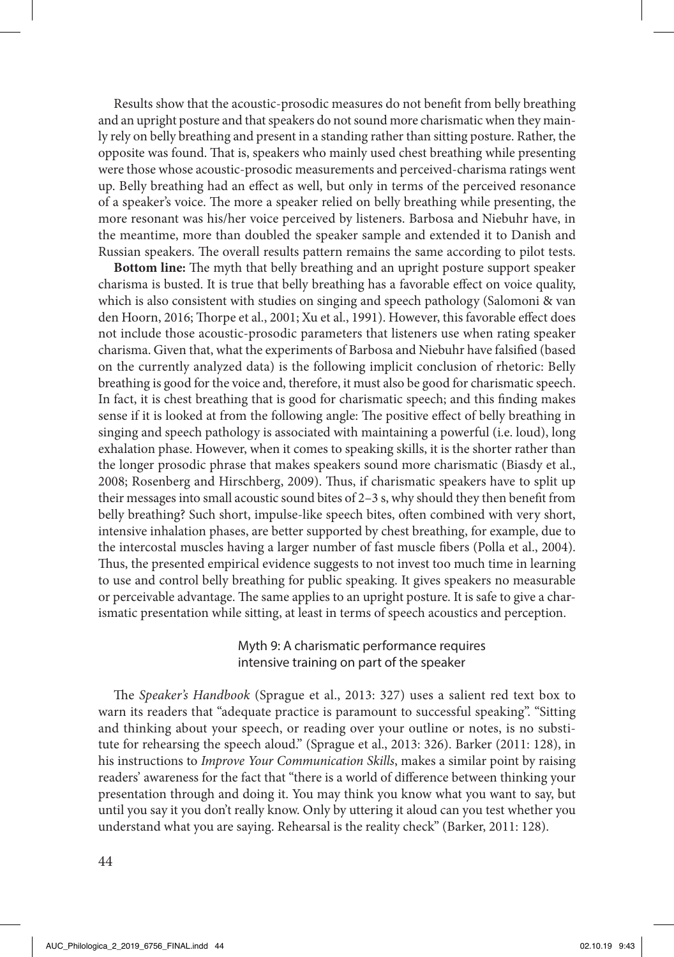Results show that the acoustic-prosodic measures do not benefit from belly breathing and an upright posture and that speakers do not sound more charismatic when they mainly rely on belly breathing and present in a standing rather than sitting posture. Rather, the opposite was found. That is, speakers who mainly used chest breathing while presenting were those whose acoustic-prosodic measurements and perceived-charisma ratings went up. Belly breathing had an effect as well, but only in terms of the perceived resonance of a speaker's voice. The more a speaker relied on belly breathing while presenting, the more resonant was his/her voice perceived by listeners. Barbosa and Niebuhr have, in the meantime, more than doubled the speaker sample and extended it to Danish and Russian speakers. The overall results pattern remains the same according to pilot tests.

**Bottom line:** The myth that belly breathing and an upright posture support speaker charisma is busted. It is true that belly breathing has a favorable effect on voice quality, which is also consistent with studies on singing and speech pathology (Salomoni & van den Hoorn, 2016; Thorpe et al., 2001; Xu et al., 1991). However, this favorable effect does not include those acoustic-prosodic parameters that listeners use when rating speaker charisma. Given that, what the experiments of Barbosa and Niebuhr have falsified (based on the currently analyzed data) is the following implicit conclusion of rhetoric: Belly breathing is good for the voice and, therefore, it must also be good for charismatic speech. In fact, it is chest breathing that is good for charismatic speech; and this finding makes sense if it is looked at from the following angle: The positive effect of belly breathing in singing and speech pathology is associated with maintaining a powerful (i.e. loud), long exhalation phase. However, when it comes to speaking skills, it is the shorter rather than the longer prosodic phrase that makes speakers sound more charismatic (Biasdy et al., 2008; Rosenberg and Hirschberg, 2009). Thus, if charismatic speakers have to split up their messages into small acoustic sound bites of 2–3 s, why should they then benefit from belly breathing? Such short, impulse-like speech bites, often combined with very short, intensive inhalation phases, are better supported by chest breathing, for example, due to the intercostal muscles having a larger number of fast muscle fibers (Polla et al., 2004). Thus, the presented empirical evidence suggests to not invest too much time in learning to use and control belly breathing for public speaking. It gives speakers no measurable or perceivable advantage. The same applies to an upright posture. It is safe to give a charismatic presentation while sitting, at least in terms of speech acoustics and perception.

> Myth 9: A charismatic performance requires intensive training on part of the speaker

The *Speaker's Handbook* (Sprague et al., 2013: 327) uses a salient red text box to warn its readers that "adequate practice is paramount to successful speaking". "Sitting and thinking about your speech, or reading over your outline or notes, is no substitute for rehearsing the speech aloud." (Sprague et al., 2013: 326). Barker (2011: 128), in his instructions to *Improve Your Communication Skills*, makes a similar point by raising readers' awareness for the fact that "there is a world of difference between thinking your presentation through and doing it. You may think you know what you want to say, but until you say it you don't really know. Only by uttering it aloud can you test whether you understand what you are saying. Rehearsal is the reality check" (Barker, 2011: 128).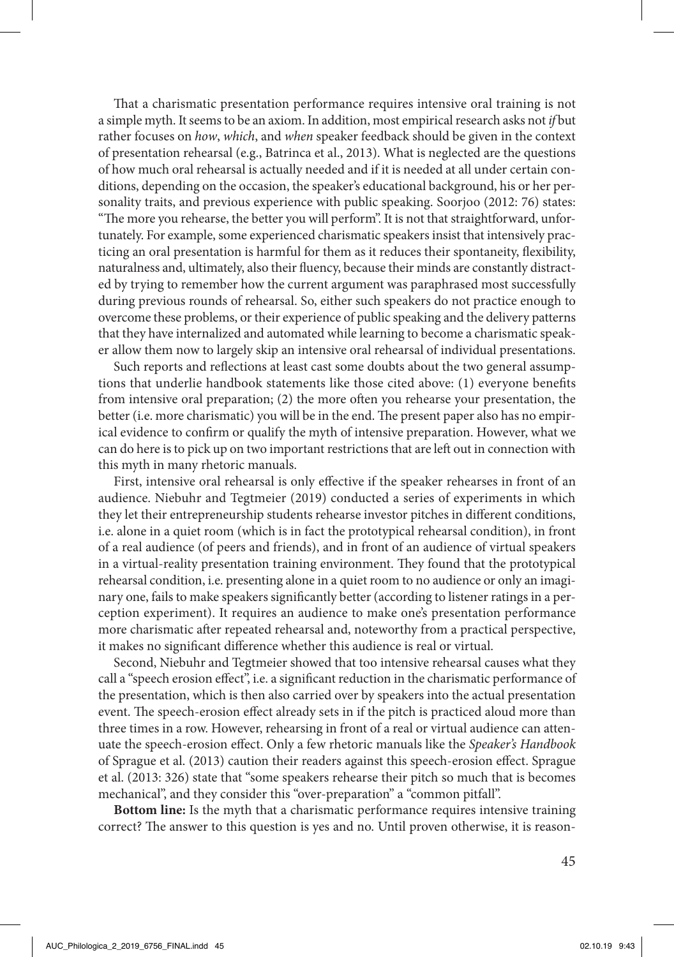That a charismatic presentation performance requires intensive oral training is not a simple myth. It seems to be an axiom. In addition, most empirical research asks not *if* but rather focuses on *how*, *which*, and *when* speaker feedback should be given in the context of presentation rehearsal (e.g., Batrinca et al., 2013). What is neglected are the questions of how much oral rehearsal is actually needed and if it is needed at all under certain conditions, depending on the occasion, the speaker's educational background, his or her personality traits, and previous experience with public speaking. Soorjoo (2012: 76) states: "The more you rehearse, the better you will perform". It is not that straightforward, unfortunately. For example, some experienced charismatic speakers insist that intensively practicing an oral presentation is harmful for them as it reduces their spontaneity, flexibility, naturalness and, ultimately, also their fluency, because their minds are constantly distracted by trying to remember how the current argument was paraphrased most successfully during previous rounds of rehearsal. So, either such speakers do not practice enough to overcome these problems, or their experience of public speaking and the delivery patterns that they have internalized and automated while learning to become a charismatic speaker allow them now to largely skip an intensive oral rehearsal of individual presentations.

Such reports and reflections at least cast some doubts about the two general assumptions that underlie handbook statements like those cited above: (1) everyone benefits from intensive oral preparation; (2) the more often you rehearse your presentation, the better (i.e. more charismatic) you will be in the end. The present paper also has no empirical evidence to confirm or qualify the myth of intensive preparation. However, what we can do here is to pick up on two important restrictions that are left out in connection with this myth in many rhetoric manuals.

First, intensive oral rehearsal is only effective if the speaker rehearses in front of an audience. Niebuhr and Tegtmeier (2019) conducted a series of experiments in which they let their entrepreneurship students rehearse investor pitches in different conditions, i.e. alone in a quiet room (which is in fact the prototypical rehearsal condition), in front of a real audience (of peers and friends), and in front of an audience of virtual speakers in a virtual-reality presentation training environment. They found that the prototypical rehearsal condition, i.e. presenting alone in a quiet room to no audience or only an imaginary one, fails to make speakers significantly better (according to listener ratings in a perception experiment). It requires an audience to make one's presentation performance more charismatic after repeated rehearsal and, noteworthy from a practical perspective, it makes no significant difference whether this audience is real or virtual.

Second, Niebuhr and Tegtmeier showed that too intensive rehearsal causes what they call a "speech erosion effect", i.e. a significant reduction in the charismatic performance of the presentation, which is then also carried over by speakers into the actual presentation event. The speech-erosion effect already sets in if the pitch is practiced aloud more than three times in a row. However, rehearsing in front of a real or virtual audience can attenuate the speech-erosion effect. Only a few rhetoric manuals like the *Speaker's Handbook*  of Sprague et al. (2013) caution their readers against this speech-erosion effect. Sprague et al. (2013: 326) state that "some speakers rehearse their pitch so much that is becomes mechanical", and they consider this "over-preparation" a "common pitfall".

**Bottom line:** Is the myth that a charismatic performance requires intensive training correct? The answer to this question is yes and no. Until proven otherwise, it is reason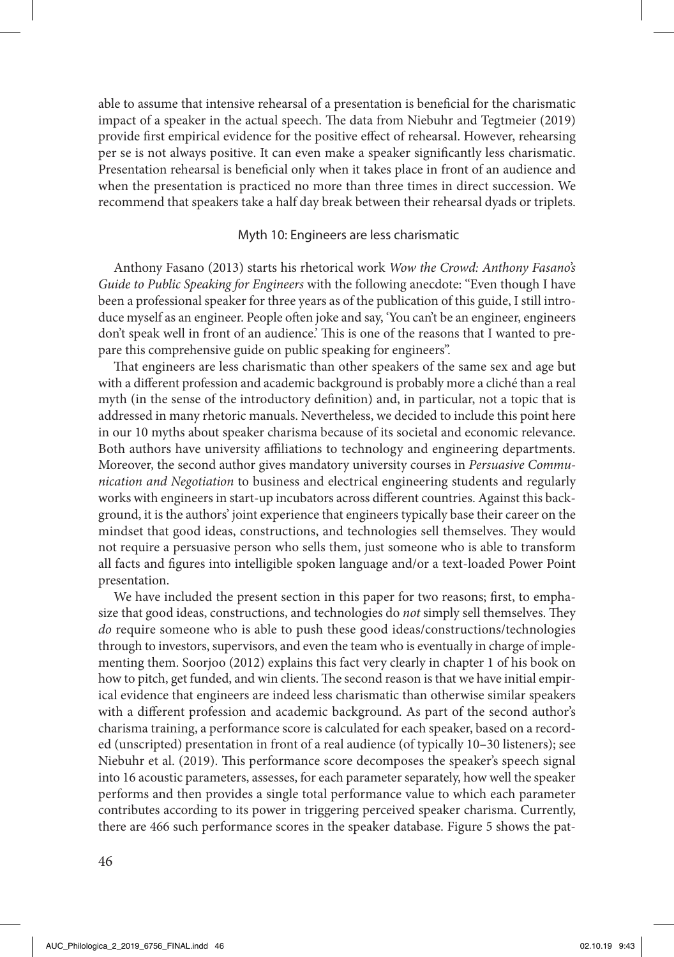able to assume that intensive rehearsal of a presentation is beneficial for the charismatic impact of a speaker in the actual speech. The data from Niebuhr and Tegtmeier (2019) provide first empirical evidence for the positive effect of rehearsal. However, rehearsing per se is not always positive. It can even make a speaker significantly less charismatic. Presentation rehearsal is beneficial only when it takes place in front of an audience and when the presentation is practiced no more than three times in direct succession. We recommend that speakers take a half day break between their rehearsal dyads or triplets.

### Myth 10: Engineers are less charismatic

Anthony Fasano (2013) starts his rhetorical work *Wow the Crowd: Anthony Fasano's Guide to Public Speaking for Engineers* with the following anecdote: "Even though I have been a professional speaker for three years as of the publication of this guide, I still introduce myself as an engineer. People often joke and say, 'You can't be an engineer, engineers don't speak well in front of an audience.' This is one of the reasons that I wanted to prepare this comprehensive guide on public speaking for engineers".

That engineers are less charismatic than other speakers of the same sex and age but with a different profession and academic background is probably more a cliché than a real myth (in the sense of the introductory definition) and, in particular, not a topic that is addressed in many rhetoric manuals. Nevertheless, we decided to include this point here in our 10 myths about speaker charisma because of its societal and economic relevance. Both authors have university affiliations to technology and engineering departments. Moreover, the second author gives mandatory university courses in *Persuasive Communication and Negotiation* to business and electrical engineering students and regularly works with engineers in start-up incubators across different countries. Against this background, it is the authors' joint experience that engineers typically base their career on the mindset that good ideas, constructions, and technologies sell themselves. They would not require a persuasive person who sells them, just someone who is able to transform all facts and figures into intelligible spoken language and/or a text-loaded Power Point presentation.

We have included the present section in this paper for two reasons; first, to emphasize that good ideas, constructions, and technologies do *not* simply sell themselves. They *do* require someone who is able to push these good ideas/constructions/technologies through to investors, supervisors, and even the team who is eventually in charge of implementing them. Soorjoo (2012) explains this fact very clearly in chapter 1 of his book on how to pitch, get funded, and win clients. The second reason is that we have initial empirical evidence that engineers are indeed less charismatic than otherwise similar speakers with a different profession and academic background. As part of the second author's charisma training, a performance score is calculated for each speaker, based on a recorded (unscripted) presentation in front of a real audience (of typically 10–30 listeners); see Niebuhr et al. (2019). This performance score decomposes the speaker's speech signal into 16 acoustic parameters, assesses, for each parameter separately, how well the speaker performs and then provides a single total performance value to which each parameter contributes according to its power in triggering perceived speaker charisma. Currently, there are 466 such performance scores in the speaker database. Figure 5 shows the pat-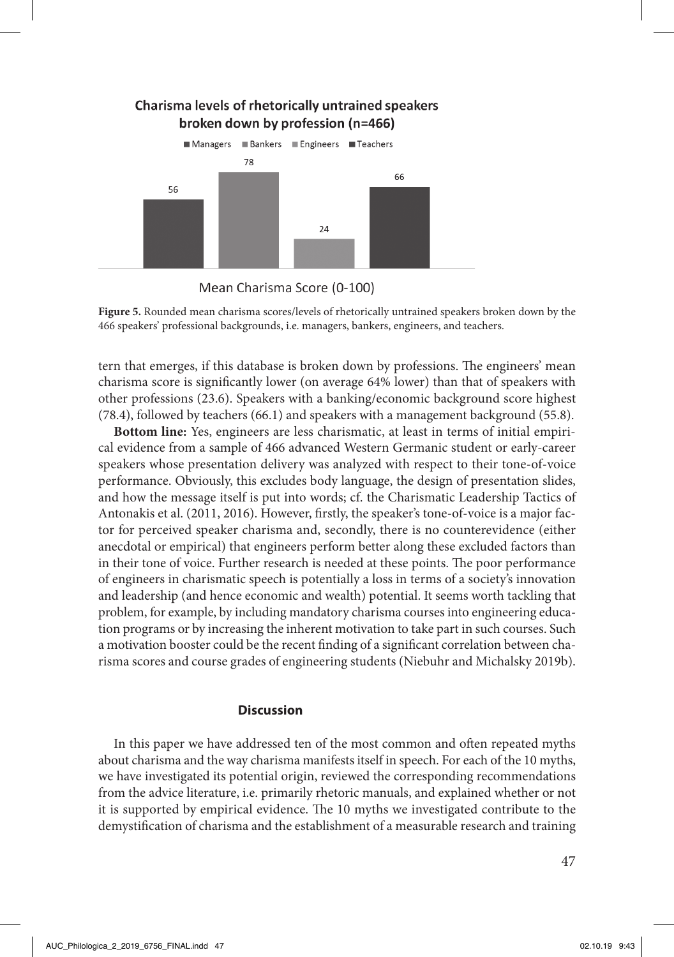



**Figure 5.** Rounded mean charisma scores/levels of rhetorically untrained speakers broken down by the 466 speakers' professional backgrounds, i.e. managers, bankers, engineers, and teachers.

tern that emerges, if this database is broken down by professions. The engineers' mean charisma score is significantly lower (on average 64% lower) than that of speakers with other professions (23.6). Speakers with a banking/economic background score highest (78.4), followed by teachers (66.1) and speakers with a management background (55.8).

**Bottom line:** Yes, engineers are less charismatic, at least in terms of initial empirical evidence from a sample of 466 advanced Western Germanic student or early-career speakers whose presentation delivery was analyzed with respect to their tone-of-voice performance. Obviously, this excludes body language, the design of presentation slides, and how the message itself is put into words; cf. the Charismatic Leadership Tactics of Antonakis et al. (2011, 2016). However, firstly, the speaker's tone-of-voice is a major factor for perceived speaker charisma and, secondly, there is no counterevidence (either anecdotal or empirical) that engineers perform better along these excluded factors than in their tone of voice. Further research is needed at these points. The poor performance of engineers in charismatic speech is potentially a loss in terms of a society's innovation and leadership (and hence economic and wealth) potential. It seems worth tackling that problem, for example, by including mandatory charisma courses into engineering education programs or by increasing the inherent motivation to take part in such courses. Such a motivation booster could be the recent finding of a significant correlation between charisma scores and course grades of engineering students (Niebuhr and Michalsky 2019b).

### **Discussion**

In this paper we have addressed ten of the most common and often repeated myths about charisma and the way charisma manifests itself in speech. For each of the 10 myths, we have investigated its potential origin, reviewed the corresponding recommendations from the advice literature, i.e. primarily rhetoric manuals, and explained whether or not it is supported by empirical evidence. The 10 myths we investigated contribute to the demystification of charisma and the establishment of a measurable research and training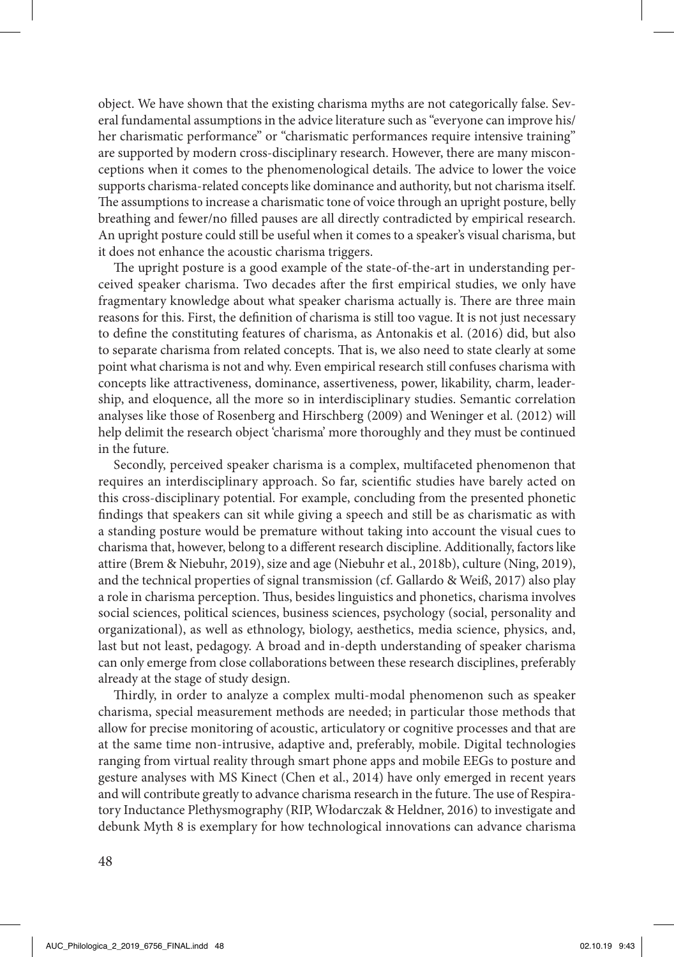object. We have shown that the existing charisma myths are not categorically false. Several fundamental assumptions in the advice literature such as "everyone can improve his/ her charismatic performance" or "charismatic performances require intensive training" are supported by modern cross-disciplinary research. However, there are many misconceptions when it comes to the phenomenological details. The advice to lower the voice supports charisma-related concepts like dominance and authority, but not charisma itself. The assumptions to increase a charismatic tone of voice through an upright posture, belly breathing and fewer/no filled pauses are all directly contradicted by empirical research. An upright posture could still be useful when it comes to a speaker's visual charisma, but it does not enhance the acoustic charisma triggers.

The upright posture is a good example of the state-of-the-art in understanding perceived speaker charisma. Two decades after the first empirical studies, we only have fragmentary knowledge about what speaker charisma actually is. There are three main reasons for this. First, the definition of charisma is still too vague. It is not just necessary to define the constituting features of charisma, as Antonakis et al. (2016) did, but also to separate charisma from related concepts. That is, we also need to state clearly at some point what charisma is not and why. Even empirical research still confuses charisma with concepts like attractiveness, dominance, assertiveness, power, likability, charm, leadership, and eloquence, all the more so in interdisciplinary studies. Semantic correlation analyses like those of Rosenberg and Hirschberg (2009) and Weninger et al. (2012) will help delimit the research object 'charisma' more thoroughly and they must be continued in the future.

Secondly, perceived speaker charisma is a complex, multifaceted phenomenon that requires an interdisciplinary approach. So far, scientific studies have barely acted on this cross-disciplinary potential. For example, concluding from the presented phonetic findings that speakers can sit while giving a speech and still be as charismatic as with a standing posture would be premature without taking into account the visual cues to charisma that, however, belong to a different research discipline. Additionally, factors like attire (Brem & Niebuhr, 2019), size and age (Niebuhr et al., 2018b), culture (Ning, 2019), and the technical properties of signal transmission (cf. Gallardo & Weiß, 2017) also play a role in charisma perception. Thus, besides linguistics and phonetics, charisma involves social sciences, political sciences, business sciences, psychology (social, personality and organizational), as well as ethnology, biology, aesthetics, media science, physics, and, last but not least, pedagogy. A broad and in-depth understanding of speaker charisma can only emerge from close collaborations between these research disciplines, preferably already at the stage of study design.

Thirdly, in order to analyze a complex multi-modal phenomenon such as speaker charisma, special measurement methods are needed; in particular those methods that allow for precise monitoring of acoustic, articulatory or cognitive processes and that are at the same time non-intrusive, adaptive and, preferably, mobile. Digital technologies ranging from virtual reality through smart phone apps and mobile EEGs to posture and gesture analyses with MS Kinect (Chen et al., 2014) have only emerged in recent years and will contribute greatly to advance charisma research in the future. The use of Respiratory Inductance Plethysmography (RIP, Włodarczak & Heldner, 2016) to investigate and debunk Myth 8 is exemplary for how technological innovations can advance charisma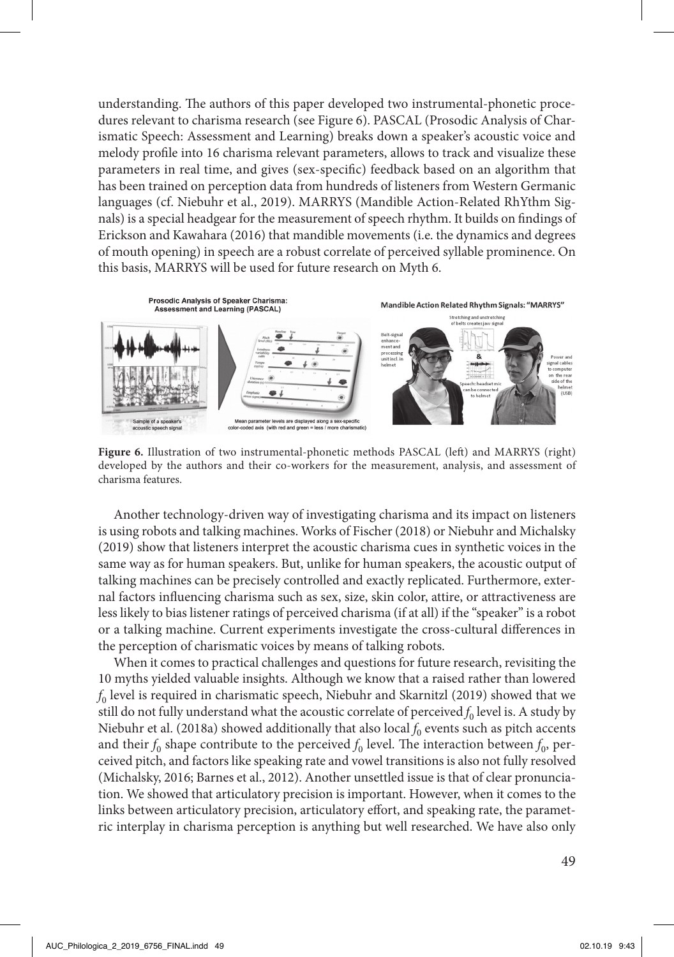understanding. The authors of this paper developed two instrumental-phonetic procedures relevant to charisma research (see Figure 6). PASCAL (Prosodic Analysis of Charismatic Speech: Assessment and Learning) breaks down a speaker's acoustic voice and melody profile into 16 charisma relevant parameters, allows to track and visualize these parameters in real time, and gives (sex-specific) feedback based on an algorithm that has been trained on perception data from hundreds of listeners from Western Germanic languages (cf. Niebuhr et al., 2019). MARRYS (Mandible Action-Related RhYthm Signals) is a special headgear for the measurement of speech rhythm. It builds on findings of Erickson and Kawahara (2016) that mandible movements (i.e. the dynamics and degrees of mouth opening) in speech are a robust correlate of perceived syllable prominence. On this basis, MARRYS will be used for future research on Myth 6.



**Figure 6.** Illustration of two instrumental-phonetic methods PASCAL (left) and MARRYS (right) developed by the authors and their co-workers for the measurement, analysis, and assessment of charisma features.

Another technology-driven way of investigating charisma and its impact on listeners is using robots and talking machines. Works of Fischer (2018) or Niebuhr and Michalsky (2019) show that listeners interpret the acoustic charisma cues in synthetic voices in the same way as for human speakers. But, unlike for human speakers, the acoustic output of talking machines can be precisely controlled and exactly replicated. Furthermore, external factors influencing charisma such as sex, size, skin color, attire, or attractiveness are less likely to bias listener ratings of perceived charisma (if at all) if the "speaker" is a robot or a talking machine. Current experiments investigate the cross-cultural differences in the perception of charismatic voices by means of talking robots.

When it comes to practical challenges and questions for future research, revisiting the 10 myths yielded valuable insights. Although we know that a raised rather than lowered  $f_0$  level is required in charismatic speech, Niebuhr and Skarnitzl (2019) showed that we still do not fully understand what the acoustic correlate of perceived  $f_0$  level is. A study by Niebuhr et al. (2018a) showed additionally that also local  $f_0$  events such as pitch accents and their  $f_0$  shape contribute to the perceived  $f_0$  level. The interaction between  $f_0$ , perceived pitch, and factors like speaking rate and vowel transitions is also not fully resolved (Michalsky, 2016; Barnes et al., 2012). Another unsettled issue is that of clear pronunciation. We showed that articulatory precision is important. However, when it comes to the links between articulatory precision, articulatory effort, and speaking rate, the parametric interplay in charisma perception is anything but well researched. We have also only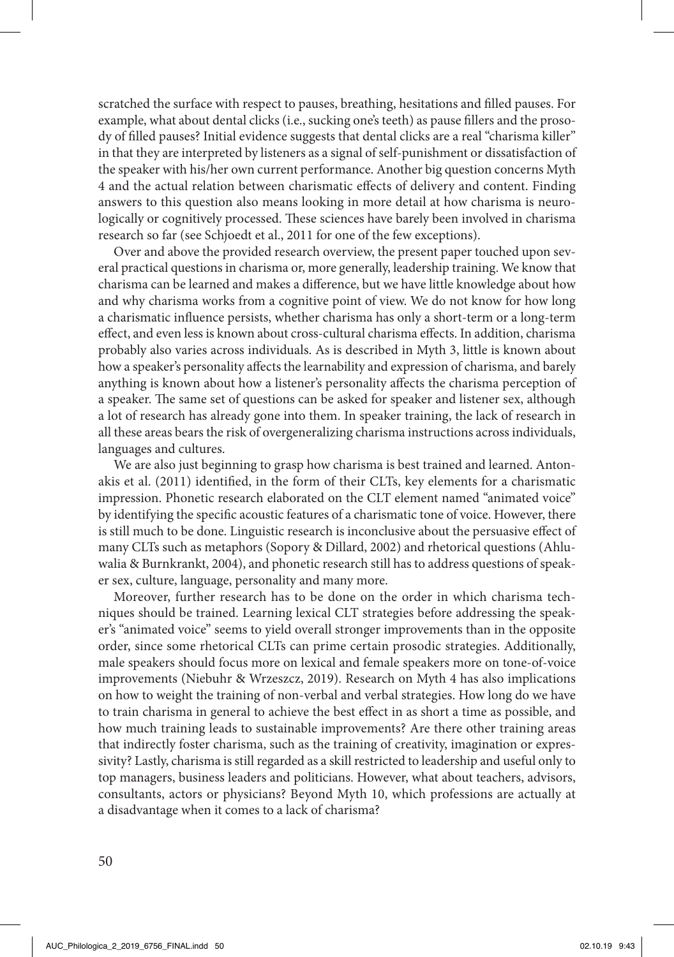scratched the surface with respect to pauses, breathing, hesitations and filled pauses. For example, what about dental clicks (i.e., sucking one's teeth) as pause fillers and the prosody of filled pauses? Initial evidence suggests that dental clicks are a real "charisma killer" in that they are interpreted by listeners as a signal of self-punishment or dissatisfaction of the speaker with his/her own current performance. Another big question concerns Myth 4 and the actual relation between charismatic effects of delivery and content. Finding answers to this question also means looking in more detail at how charisma is neurologically or cognitively processed. These sciences have barely been involved in charisma research so far (see Schjoedt et al., 2011 for one of the few exceptions).

Over and above the provided research overview, the present paper touched upon several practical questions in charisma or, more generally, leadership training. We know that charisma can be learned and makes a difference, but we have little knowledge about how and why charisma works from a cognitive point of view. We do not know for how long a charismatic influence persists, whether charisma has only a short-term or a long-term effect, and even less is known about cross-cultural charisma effects. In addition, charisma probably also varies across individuals. As is described in Myth 3, little is known about how a speaker's personality affects the learnability and expression of charisma, and barely anything is known about how a listener's personality affects the charisma perception of a speaker. The same set of questions can be asked for speaker and listener sex, although a lot of research has already gone into them. In speaker training, the lack of research in all these areas bears the risk of overgeneralizing charisma instructions across individuals, languages and cultures.

We are also just beginning to grasp how charisma is best trained and learned. Antonakis et al. (2011) identified, in the form of their CLTs, key elements for a charismatic impression. Phonetic research elaborated on the CLT element named "animated voice" by identifying the specific acoustic features of a charismatic tone of voice. However, there is still much to be done. Linguistic research is inconclusive about the persuasive effect of many CLTs such as metaphors (Sopory & Dillard, 2002) and rhetorical questions (Ahluwalia & Burnkrankt, 2004), and phonetic research still has to address questions of speaker sex, culture, language, personality and many more.

Moreover, further research has to be done on the order in which charisma techniques should be trained. Learning lexical CLT strategies before addressing the speaker's "animated voice" seems to yield overall stronger improvements than in the opposite order, since some rhetorical CLTs can prime certain prosodic strategies. Additionally, male speakers should focus more on lexical and female speakers more on tone-of-voice improvements (Niebuhr & Wrzeszcz, 2019). Research on Myth 4 has also implications on how to weight the training of non-verbal and verbal strategies. How long do we have to train charisma in general to achieve the best effect in as short a time as possible, and how much training leads to sustainable improvements? Are there other training areas that indirectly foster charisma, such as the training of creativity, imagination or expressivity? Lastly, charisma is still regarded as a skill restricted to leadership and useful only to top managers, business leaders and politicians. However, what about teachers, advisors, consultants, actors or physicians? Beyond Myth 10, which professions are actually at a disadvantage when it comes to a lack of charisma?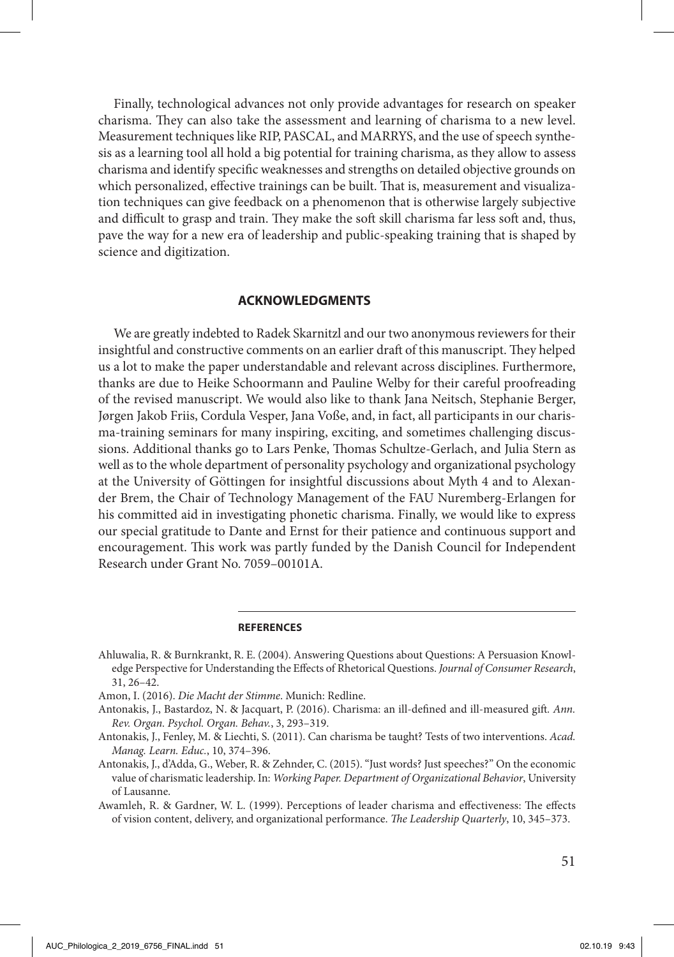Finally, technological advances not only provide advantages for research on speaker charisma. They can also take the assessment and learning of charisma to a new level. Measurement techniques like RIP, PASCAL, and MARRYS, and the use of speech synthesis as a learning tool all hold a big potential for training charisma, as they allow to assess charisma and identify specific weaknesses and strengths on detailed objective grounds on which personalized, effective trainings can be built. That is, measurement and visualization techniques can give feedback on a phenomenon that is otherwise largely subjective and difficult to grasp and train. They make the soft skill charisma far less soft and, thus, pave the way for a new era of leadership and public-speaking training that is shaped by science and digitization.

### **ACKNOWLEDGMENTS**

We are greatly indebted to Radek Skarnitzl and our two anonymous reviewers for their insightful and constructive comments on an earlier draft of this manuscript. They helped us a lot to make the paper understandable and relevant across disciplines. Furthermore, thanks are due to Heike Schoormann and Pauline Welby for their careful proofreading of the revised manuscript. We would also like to thank Jana Neitsch, Stephanie Berger, Jørgen Jakob Friis, Cordula Vesper, Jana Voße, and, in fact, all participants in our charisma-training seminars for many inspiring, exciting, and sometimes challenging discussions. Additional thanks go to Lars Penke, Thomas Schultze-Gerlach, and Julia Stern as well as to the whole department of personality psychology and organizational psychology at the University of Göttingen for insightful discussions about Myth 4 and to Alexander Brem, the Chair of Technology Management of the FAU Nuremberg-Erlangen for his committed aid in investigating phonetic charisma. Finally, we would like to express our special gratitude to Dante and Ernst for their patience and continuous support and encouragement. This work was partly funded by the Danish Council for Independent Research under Grant No. 7059–00101A.

#### **REFERENCES**

- Ahluwalia, R. & Burnkrankt, R. E. (2004). Answering Questions about Questions: A Persuasion Knowledge Perspective for Understanding the Effects of Rhetorical Questions. *Journal of Consumer Research*, 31, 26–42.
- Amon, I. (2016). *Die Macht der Stimme*. Munich: Redline.
- Antonakis, J., Bastardoz, N. & Jacquart, P. (2016). Charisma: an ill-defined and ill-measured gift*. Ann. Rev. Organ. Psychol. Organ. Behav.*, 3, 293–319.
- Antonakis, J., Fenley, M. & Liechti, S. (2011). Can charisma be taught? Tests of two interventions. *Acad. Manag. Learn. Educ.*, 10, 374–396.
- Antonakis, J., d'Adda, G., Weber, R. & Zehnder, C. (2015). "Just words? Just speeches?" On the economic value of charismatic leadership. In: *Working Paper. Department of Organizational Behavior*, University of Lausanne.
- Awamleh, R. & Gardner, W. L. (1999). Perceptions of leader charisma and effectiveness: The effects of vision content, delivery, and organizational performance. *The Leadership Quarterly*, 10, 345–373.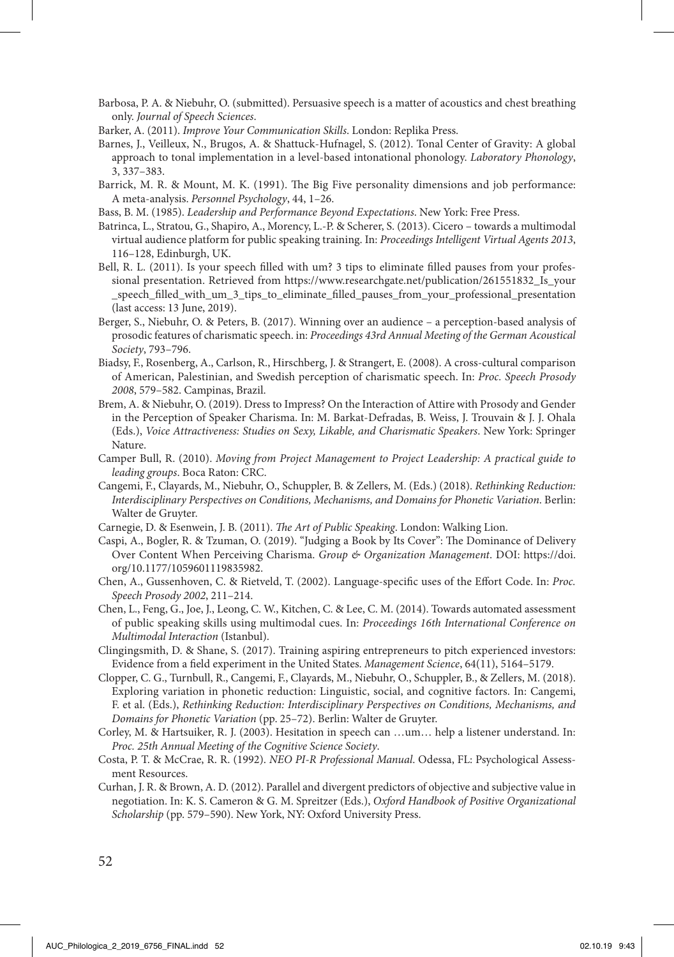- Barbosa, P. A. & Niebuhr, O. (submitted). Persuasive speech is a matter of acoustics and chest breathing only. *Journal of Speech Sciences*.
- Barker, A. (2011). *Improve Your Communication Skills*. London: Replika Press.
- Barnes, J., Veilleux, N., Brugos, A. & Shattuck-Hufnagel, S. (2012). Tonal Center of Gravity: A global approach to tonal implementation in a level-based intonational phonology. *Laboratory Phonology*, 3, 337–383.
- Barrick, M. R. & Mount, M. K. (1991). The Big Five personality dimensions and job performance: A meta-analysis. *Personnel Psychology*, 44, 1–26.
- Bass, B. M. (1985). *Leadership and Performance Beyond Expectations*. New York: Free Press.
- Batrinca, L., Stratou, G., Shapiro, A., Morency, L.-P. & Scherer, S. (2013). Cicero towards a multimodal virtual audience platform for public speaking training. In: *Proceedings Intelligent Virtual Agents 2013*, 116–128, Edinburgh, UK.
- Bell, R. L. (2011). Is your speech filled with um? 3 tips to eliminate filled pauses from your professional presentation. Retrieved from https://www.researchgate.net/publication/261551832 Is your \_speech\_filled\_with\_um\_3\_tips\_to\_eliminate\_filled\_pauses\_from\_your\_professional\_presentation (last access: 13 June, 2019).
- Berger, S., Niebuhr, O. & Peters, B. (2017). Winning over an audience a perception-based analysis of prosodic features of charismatic speech. in: *Proceedings 43rd Annual Meeting of the German Acoustical Society*, 793–796.
- Biadsy, F., Rosenberg, A., Carlson, R., Hirschberg, J. & Strangert, E. (2008). A cross-cultural comparison of American, Palestinian, and Swedish perception of charismatic speech. In: *Proc. Speech Prosody 2008*, 579–582. Campinas, Brazil.
- Brem, A. & Niebuhr, O. (2019). Dress to Impress? On the Interaction of Attire with Prosody and Gender in the Perception of Speaker Charisma. In: M. Barkat-Defradas, B. Weiss, J. Trouvain & J. J. Ohala (Eds.), *Voice Attractiveness: Studies on Sexy, Likable, and Charismatic Speakers*. New York: Springer Nature.
- Camper Bull, R. (2010). *Moving from Project Management to Project Leadership: A practical guide to leading groups*. Boca Raton: CRC.
- Cangemi, F., Clayards, M., Niebuhr, O., Schuppler, B. & Zellers, M. (Eds.) (2018). *Rethinking Reduction: Interdisciplinary Perspectives on Conditions, Mechanisms, and Domains for Phonetic Variation*. Berlin: Walter de Gruyter.
- Carnegie, D. & Esenwein, J. B. (2011). *The Art of Public Speaking*. London: Walking Lion.
- Caspi, A., Bogler, R. & Tzuman, O. (2019). "Judging a Book by Its Cover": The Dominance of Delivery Over Content When Perceiving Charisma. *Group & Organization Management*. DOI: https://doi. org/10.1177/1059601119835982.
- Chen, A., Gussenhoven, C. & Rietveld, T. (2002). Language-specific uses of the Effort Code. In: *Proc. Speech Prosody 2002*, 211–214.
- Chen, L., Feng, G., Joe, J., Leong, C. W., Kitchen, C. & Lee, C. M. (2014). Towards automated assessment of public speaking skills using multimodal cues. In: *Proceedings 16th International Conference on Multimodal Interaction* (Istanbul).
- Clingingsmith, D. & Shane, S. (2017). Training aspiring entrepreneurs to pitch experienced investors: Evidence from a field experiment in the United States. *Management Science*, 64(11), 5164–5179.
- Clopper, C. G., Turnbull, R., Cangemi, F., Clayards, M., Niebuhr, O., Schuppler, B., & Zellers, M. (2018). Exploring variation in phonetic reduction: Linguistic, social, and cognitive factors. In: Cangemi, F. et al. (Eds.), *Rethinking Reduction: Interdisciplinary Perspectives on Conditions, Mechanisms, and Domains for Phonetic Variation* (pp. 25–72). Berlin: Walter de Gruyter.
- Corley, M. & Hartsuiker, R. J. (2003). Hesitation in speech can …um… help a listener understand. In: *Proc. 25th Annual Meeting of the Cognitive Science Society*.
- Costa, P. T. & McCrae, R. R. (1992). *NEO PI-R Professional Manual*. Odessa, FL: Psychological Assessment Resources.
- Curhan, J. R. & Brown, A. D. (2012). Parallel and divergent predictors of objective and subjective value in negotiation. In: K. S. Cameron & G. M. Spreitzer (Eds.), *Oxford Handbook of Positive Organizational Scholarship* (pp. 579–590). New York, NY: Oxford University Press.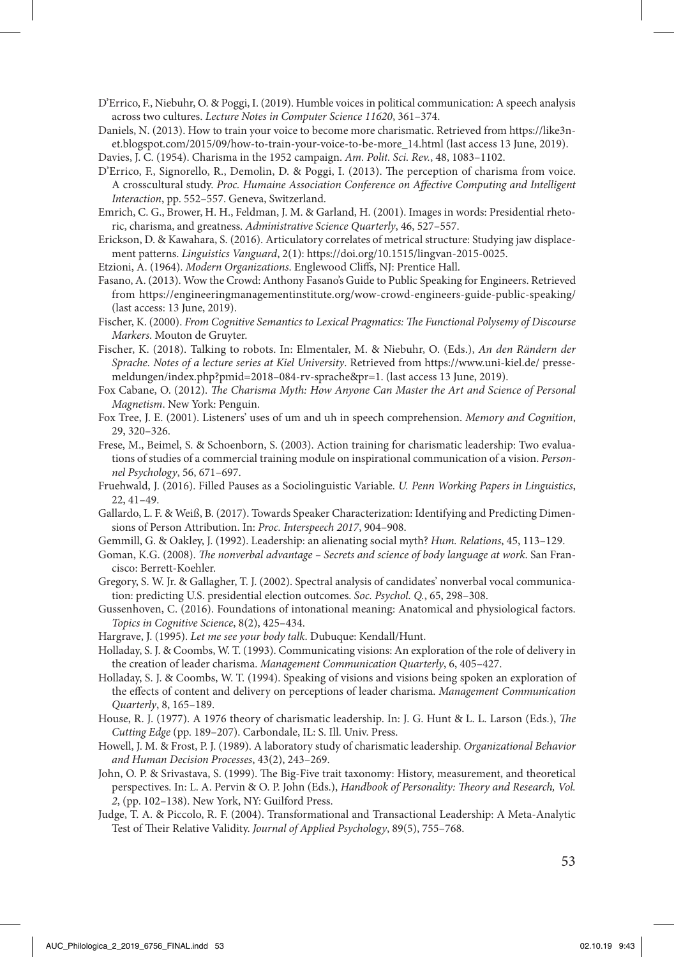D'Errico, F., Niebuhr, O. & Poggi, I. (2019). Humble voices in political communication: A speech analysis across two cultures. *Lecture Notes in Computer Science 11620*, 361–374.

Daniels, N. (2013). How to train your voice to become more charismatic. Retrieved from https://like3net.blogspot.com/2015/09/how-to-train-your-voice-to-be-more\_14.html (last access 13 June, 2019).

Davies, J. C. (1954). Charisma in the 1952 campaign. *Am. Polit. Sci. Rev.*, 48, 1083–1102.

- D'Errico, F., Signorello, R., Demolin, D. & Poggi, I. (2013). The perception of charisma from voice. A crosscultural study. *Proc. Humaine Association Conference on Affective Computing and Intelligent Interaction*, pp. 552–557. Geneva, Switzerland.
- Emrich, C. G., Brower, H. H., Feldman, J. M. & Garland, H. (2001). Images in words: Presidential rhetoric, charisma, and greatness. *Administrative Science Quarterly*, 46, 527–557.
- Erickson, D. & Kawahara, S. (2016). Articulatory correlates of metrical structure: Studying jaw displacement patterns. *Linguistics Vanguard*, 2(1): https://doi.org/10.1515/lingvan-2015-0025.
- Etzioni, A. (1964). *Modern Organizations*. Englewood Cliffs, NJ: Prentice Hall.
- Fasano, A. (2013). Wow the Crowd: Anthony Fasano's Guide to Public Speaking for Engineers. Retrieved from https://engineeringmanagementinstitute.org/wow-crowd-engineers-guide-public-speaking/ (last access: 13 June, 2019).
- Fischer, K. (2000). *From Cognitive Semantics to Lexical Pragmatics: The Functional Polysemy of Discourse Markers*. Mouton de Gruyter.
- Fischer, K. (2018). Talking to robots. In: Elmentaler, M. & Niebuhr, O. (Eds.), *An den Rändern der Sprache. Notes of a lecture series at Kiel University*. Retrieved from https://www.uni-kiel.de/ pressemeldungen/index.php?pmid=2018–084-rv-sprache&pr=1. (last access 13 June, 2019).
- Fox Cabane, O. (2012). *The Charisma Myth: How Anyone Can Master the Art and Science of Personal Magnetism*. New York: Penguin.
- Fox Tree, J. E. (2001). Listeners' uses of um and uh in speech comprehension. *Memory and Cognition*, 29, 320–326.
- Frese, M., Beimel, S. & Schoenborn, S. (2003). Action training for charismatic leadership: Two evaluations of studies of a commercial training module on inspirational communication of a vision. *Personnel Psychology*, 56, 671–697.
- Fruehwald, J. (2016). Filled Pauses as a Sociolinguistic Variable. *U. Penn Working Papers in Linguistics*, 22, 41–49.
- Gallardo, L. F. & Weiß, B. (2017). Towards Speaker Characterization: Identifying and Predicting Dimensions of Person Attribution. In: *Proc. Interspeech 2017*, 904–908.
- Gemmill, G. & Oakley, J. (1992). Leadership: an alienating social myth? *Hum. Relations*, 45, 113–129.
- Goman, K.G. (2008). *The nonverbal advantage Secrets and science of body language at work*. San Francisco: Berrett-Koehler.
- Gregory, S. W. Jr. & Gallagher, T. J. (2002). Spectral analysis of candidates' nonverbal vocal communication: predicting U.S. presidential election outcomes. *Soc. Psychol. Q.*, 65, 298–308.
- Gussenhoven, C. (2016). Foundations of intonational meaning: Anatomical and physiological factors. *Topics in Cognitive Science*, 8(2), 425–434.
- Hargrave, J. (1995). *Let me see your body talk*. Dubuque: Kendall/Hunt.
- Holladay, S. J. & Coombs, W. T. (1993). Communicating visions: An exploration of the role of delivery in the creation of leader charisma. *Management Communication Quarterly*, 6, 405–427.
- Holladay, S. J. & Coombs, W. T. (1994). Speaking of visions and visions being spoken an exploration of the effects of content and delivery on perceptions of leader charisma. *Management Communication Quarterly*, 8, 165–189.
- House, R. J. (1977). A 1976 theory of charismatic leadership. In: J. G. Hunt & L. L. Larson (Eds.), *The Cutting Edge* (pp. 189–207). Carbondale, IL: S. Ill. Univ. Press.
- Howell, J. M. & Frost, P. J. (1989). A laboratory study of charismatic leadership. *Organizational Behavior and Human Decision Processes*, 43(2), 243–269.
- John, O. P. & Srivastava, S. (1999). The Big-Five trait taxonomy: History, measurement, and theoretical perspectives. In: L. A. Pervin & O. P. John (Eds.), *Handbook of Personality: Theory and Research, Vol. 2*, (pp. 102–138). New York, NY: Guilford Press.
- Judge, T. A. & Piccolo, R. F. (2004). Transformational and Transactional Leadership: A Meta-Analytic Test of Their Relative Validity. *Journal of Applied Psychology*, 89(5), 755–768.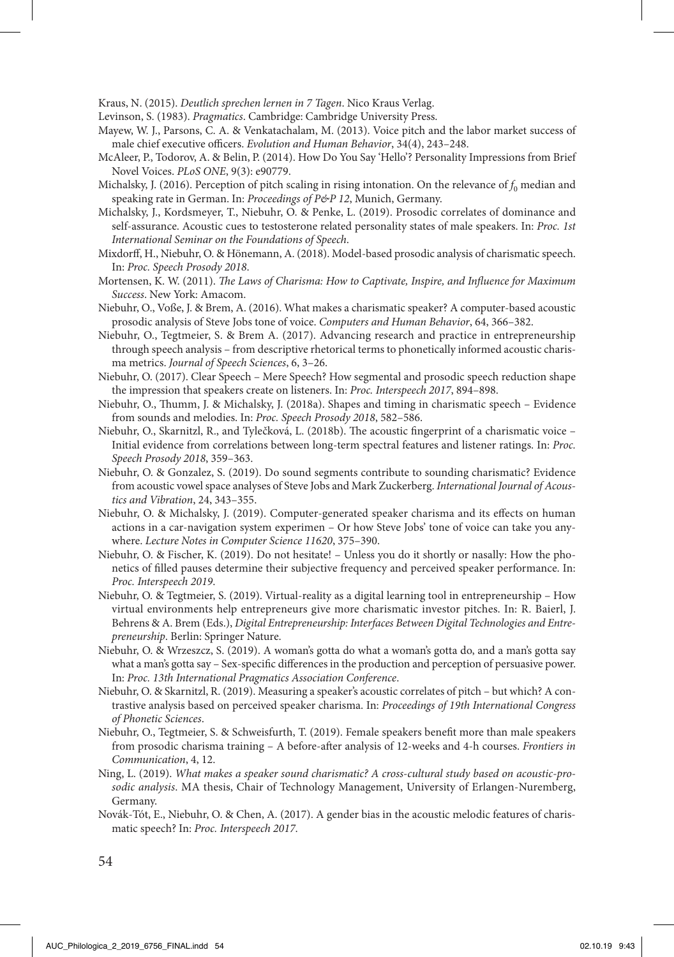Kraus, N. (2015). *Deutlich sprechen lernen in 7 Tagen*. Nico Kraus Verlag.

Levinson, S. (1983). *Pragmatics*. Cambridge: Cambridge University Press.

- Mayew, W. J., Parsons, C. A. & Venkatachalam, M. (2013). Voice pitch and the labor market success of male chief executive officers. *Evolution and Human Behavior*, 34(4), 243–248.
- McAleer, P., Todorov, A. & Belin, P. (2014). How Do You Say 'Hello'? Personality Impressions from Brief Novel Voices. *PLoS ONE*, 9(3): e90779.
- Michalsky, J. (2016). Perception of pitch scaling in rising intonation. On the relevance of  $f_0$  median and speaking rate in German. In: *Proceedings of P&P 12*, Munich, Germany.
- Michalsky, J., Kordsmeyer, T., Niebuhr, O. & Penke, L. (2019). Prosodic correlates of dominance and self-assurance. Acoustic cues to testosterone related personality states of male speakers. In: *Proc. 1st International Seminar on the Foundations of Speech*.
- Mixdorff, H., Niebuhr, O. & Hönemann, A. (2018). Model-based prosodic analysis of charismatic speech. In: *Proc. Speech Prosody 2018*.
- Mortensen, K. W. (2011). *The Laws of Charisma: How to Captivate, Inspire, and Influence for Maximum Success*. New York: Amacom.
- Niebuhr, O., Voße, J. & Brem, A. (2016). What makes a charismatic speaker? A computer-based acoustic prosodic analysis of Steve Jobs tone of voice. *Computers and Human Behavior*, 64, 366–382.
- Niebuhr, O., Tegtmeier, S. & Brem A. (2017). Advancing research and practice in entrepreneurship through speech analysis – from descriptive rhetorical terms to phonetically informed acoustic charisma metrics. *Journal of Speech Sciences*, 6, 3–26.
- Niebuhr, O. (2017). Clear Speech Mere Speech? How segmental and prosodic speech reduction shape the impression that speakers create on listeners. In: *Proc. Interspeech 2017*, 894–898.
- Niebuhr, O., Thumm, J. & Michalsky, J. (2018a). Shapes and timing in charismatic speech Evidence from sounds and melodies. In: *Proc. Speech Prosody 2018*, 582–586.
- Niebuhr, O., Skarnitzl, R., and Tylečková, L. (2018b). The acoustic fingerprint of a charismatic voice Initial evidence from correlations between long-term spectral features and listener ratings. In: *Proc. Speech Prosody 2018*, 359–363.
- Niebuhr, O. & Gonzalez, S. (2019). Do sound segments contribute to sounding charismatic? Evidence from acoustic vowel space analyses of Steve Jobs and Mark Zuckerberg. *International Journal of Acoustics and Vibration*, 24, 343–355.
- Niebuhr, O. & Michalsky, J. (2019). Computer-generated speaker charisma and its effects on human actions in a car-navigation system experimen – Or how Steve Jobs' tone of voice can take you anywhere. *Lecture Notes in Computer Science 11620*, 375–390.
- Niebuhr, O. & Fischer, K. (2019). Do not hesitate! Unless you do it shortly or nasally: How the phonetics of filled pauses determine their subjective frequency and perceived speaker performance. In: *Proc. Interspeech 2019*.
- Niebuhr, O. & Tegtmeier, S. (2019). Virtual-reality as a digital learning tool in entrepreneurship How virtual environments help entrepreneurs give more charismatic investor pitches. In: R. Baierl, J. Behrens & A. Brem (Eds.), *Digital Entrepreneurship: Interfaces Between Digital Technologies and Entrepreneurship*. Berlin: Springer Nature.
- Niebuhr, O. & Wrzeszcz, S. (2019). A woman's gotta do what a woman's gotta do, and a man's gotta say what a man's gotta say – Sex-specific differences in the production and perception of persuasive power. In: *Proc. 13th International Pragmatics Association Conference*.
- Niebuhr, O. & Skarnitzl, R. (2019). Measuring a speaker's acoustic correlates of pitch but which? A contrastive analysis based on perceived speaker charisma. In: *Proceedings of 19th International Congress of Phonetic Sciences*.
- Niebuhr, O., Tegtmeier, S. & Schweisfurth, T. (2019). Female speakers benefit more than male speakers from prosodic charisma training – A before-after analysis of 12-weeks and 4-h courses. *Frontiers in Communication*, 4, 12.
- Ning, L. (2019). *What makes a speaker sound charismatic? A cross-cultural study based on acoustic-prosodic analysis*. MA thesis, Chair of Technology Management, University of Erlangen-Nuremberg, Germany.
- Novák-Tót, E., Niebuhr, O. & Chen, A. (2017). A gender bias in the acoustic melodic features of charismatic speech? In: *Proc. Interspeech 2017*.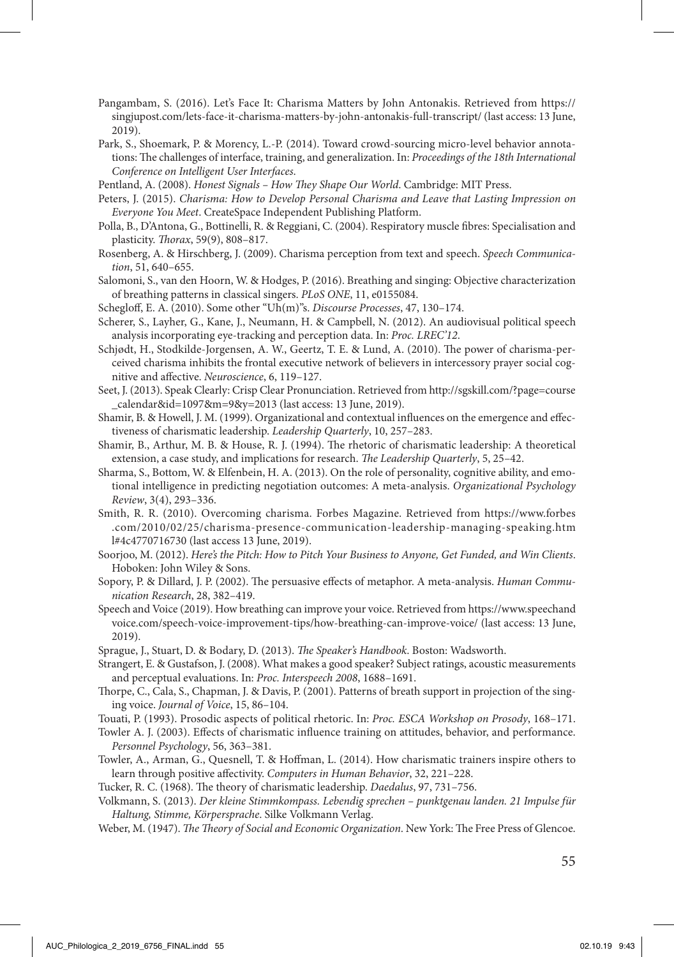- Pangambam, S. (2016). Let's Face It: Charisma Matters by John Antonakis. Retrieved from https:// singjupost.com/lets-face-it-charisma-matters-by-john-antonakis-full-transcript/ (last access: 13 June, 2019).
- Park, S., Shoemark, P. & Morency, L.-P. (2014). Toward crowd-sourcing micro-level behavior annotations: The challenges of interface, training, and generalization. In: *Proceedings of the 18th International Conference on Intelligent User Interfaces*.
- Pentland, A. (2008). *Honest Signals How They Shape Our World*. Cambridge: MIT Press.
- Peters, J. (2015). *Charisma: How to Develop Personal Charisma and Leave that Lasting Impression on Everyone You Meet*. CreateSpace Independent Publishing Platform.
- Polla, B., D'Antona, G., Bottinelli, R. & Reggiani, C. (2004). Respiratory muscle fibres: Specialisation and plasticity. *Thorax*, 59(9), 808–817.
- Rosenberg, A. & Hirschberg, J. (2009). Charisma perception from text and speech. *Speech Communication*, 51, 640–655.
- Salomoni, S., van den Hoorn, W. & Hodges, P. (2016). Breathing and singing: Objective characterization of breathing patterns in classical singers. *PLoS ONE*, 11, e0155084.
- Schegloff, E. A. (2010). Some other "Uh(m)"s. *Discourse Processes*, 47, 130–174.
- Scherer, S., Layher, G., Kane, J., Neumann, H. & Campbell, N. (2012). An audiovisual political speech analysis incorporating eye-tracking and perception data. In: *Proc. LREC'12*.
- Schjødt, H., Stodkilde-Jorgensen, A. W., Geertz, T. E. & Lund, A. (2010). The power of charisma-perceived charisma inhibits the frontal executive network of believers in intercessory prayer social cognitive and affective. *Neuroscience*, 6, 119–127.
- Seet, J. (2013). Speak Clearly: Crisp Clear Pronunciation. Retrieved from http://sgskill.com/?page=course \_calendar&id=1097&m=9&y=2013 (last access: 13 June, 2019).
- Shamir, B. & Howell, J. M. (1999). Organizational and contextual influences on the emergence and effectiveness of charismatic leadership. *Leadership Quarterly*, 10, 257–283.
- Shamir, B., Arthur, M. B. & House, R. J. (1994). The rhetoric of charismatic leadership: A theoretical extension, a case study, and implications for research. *The Leadership Quarterly*, 5, 25–42.
- Sharma, S., Bottom, W. & Elfenbein, H. A. (2013). On the role of personality, cognitive ability, and emotional intelligence in predicting negotiation outcomes: A meta-analysis. *Organizational Psychology Review*, 3(4), 293–336.
- Smith, R. R. (2010). Overcoming charisma. Forbes Magazine. Retrieved from https://www.forbes .com/2010/02/25/charisma-presence-communication-leadership-managing-speaking.htm l#4c4770716730 (last access 13 June, 2019).
- Soorjoo, M. (2012). *Here's the Pitch: How to Pitch Your Business to Anyone, Get Funded, and Win Clients*. Hoboken: John Wiley & Sons.
- Sopory, P. & Dillard, J. P. (2002). The persuasive effects of metaphor. A meta-analysis. *Human Communication Research*, 28, 382–419.
- Speech and Voice (2019). How breathing can improve your voice. Retrieved from https://www.speechand voice.com/speech-voice-improvement-tips/how-breathing-can-improve-voice/ (last access: 13 June, 2019).
- Sprague, J., Stuart, D. & Bodary, D. (2013). *The Speaker's Handbook*. Boston: Wadsworth.
- Strangert, E. & Gustafson, J. (2008). What makes a good speaker? Subject ratings, acoustic measurements and perceptual evaluations. In: *Proc. Interspeech 2008*, 1688–1691.
- Thorpe, C., Cala, S., Chapman, J. & Davis, P. (2001). Patterns of breath support in projection of the singing voice. *Journal of Voice*, 15, 86–104.
- Touati, P. (1993). Prosodic aspects of political rhetoric. In: *Proc. ESCA Workshop on Prosody*, 168–171.
- Towler A. J. (2003). Effects of charismatic influence training on attitudes, behavior, and performance. *Personnel Psychology*, 56, 363–381.
- Towler, A., Arman, G., Quesnell, T. & Hoffman, L. (2014). How charismatic trainers inspire others to learn through positive affectivity. *Computers in Human Behavior*, 32, 221–228.

Tucker, R. C. (1968). The theory of charismatic leadership. *Daedalus*, 97, 731–756.

- Volkmann, S. (2013). *Der kleine Stimmkompass. Lebendig sprechen punktgenau landen. 21 Impulse für Haltung, Stimme, Körpersprache*. Silke Volkmann Verlag.
- Weber, M. (1947). *The Theory of Social and Economic Organization*. New York: The Free Press of Glencoe.